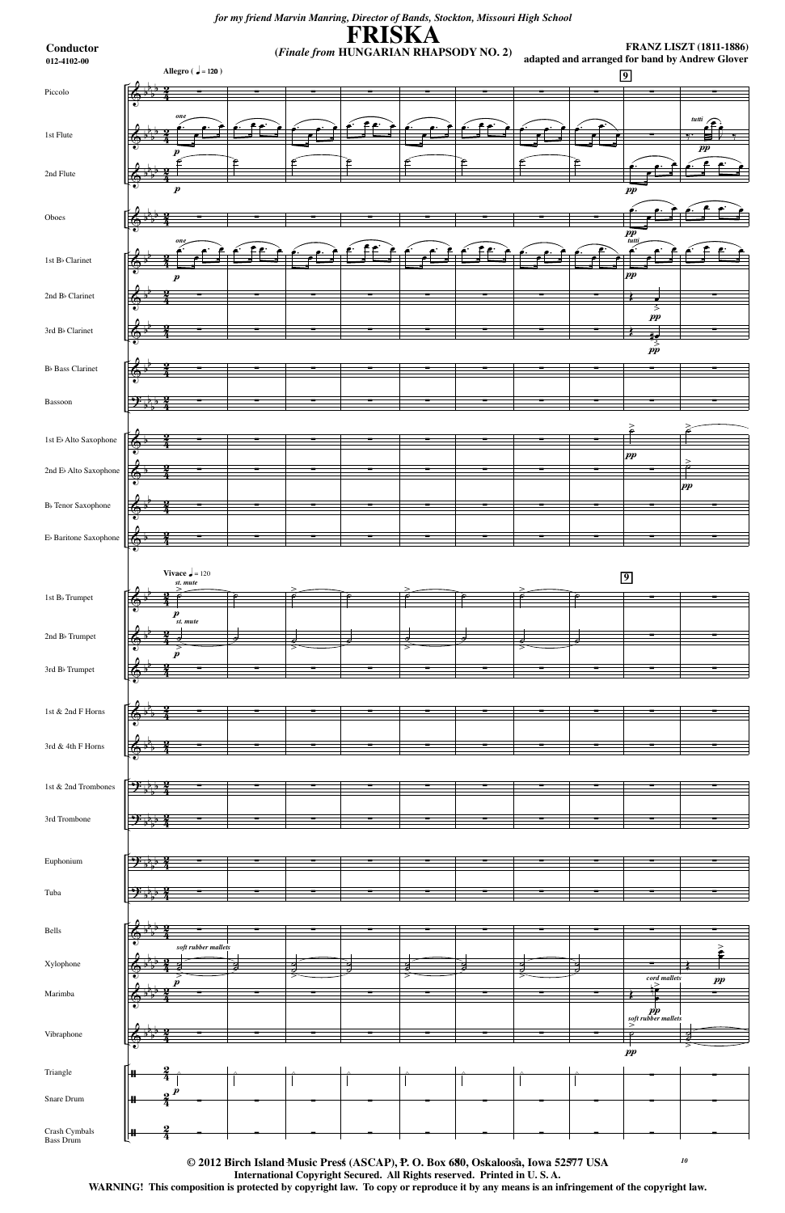

| Conductor<br>012-4102-00                           |                                 | T TTTOTTT<br>(Finale from HUNGARIAN RHAPSODY NO. 2)<br>Allegro ( $\bullet$ = 120)<br>9 |                          |        |   |        |                          |        |   | <b>FRANZ LISZT (1811-1886)</b><br>adapted and arranged for band by Andrew Glover |                                        |
|----------------------------------------------------|---------------------------------|----------------------------------------------------------------------------------------|--------------------------|--------|---|--------|--------------------------|--------|---|----------------------------------------------------------------------------------|----------------------------------------|
| Piccolo                                            |                                 |                                                                                        |                          |        |   |        |                          |        |   |                                                                                  |                                        |
| 1st Flute                                          |                                 | one                                                                                    |                          |        |   |        |                          |        |   |                                                                                  | tutti $\mathcal{C}$<br>$\overline{pp}$ |
| 2nd Flute                                          |                                 | $\boldsymbol{p}$                                                                       | 色                        | ρ      | ⅇ | ₽      | ₽                        |        | € | $\boldsymbol{pp}$                                                                |                                        |
| Oboes                                              |                                 |                                                                                        |                          |        |   |        |                          |        |   |                                                                                  |                                        |
| 1st B $\overline{B}$ Clarinet                      |                                 | $\boldsymbol{p}$                                                                       |                          |        |   |        |                          |        |   | $\frac{pp}{tutti}$<br>pp                                                         |                                        |
| 2nd B $\overline{B}$ Clarinet                      |                                 |                                                                                        |                          |        |   |        |                          |        |   | $\overline{\cdot}$                                                               |                                        |
| $3\mathrm{rd}\ \mathrm{B}^\mathrm{b}$ Clarinet     |                                 |                                                                                        |                          |        |   |        |                          |        |   | $\boldsymbol{pp}$<br>$\frac{1}{p}$                                               |                                        |
| $\rm B\flat$ Bass Clarinet                         |                                 |                                                                                        |                          |        |   |        |                          |        |   |                                                                                  |                                        |
| Bassoon                                            | 9:15                            |                                                                                        |                          |        |   |        |                          |        |   |                                                                                  |                                        |
| 1st E <sub>b</sub> Alto Saxophone                  |                                 |                                                                                        |                          |        |   |        |                          |        |   | $\vert pp \vert$                                                                 |                                        |
| $2{\rm nd} \to {\rm Alto}$ Saxophone               | $\bullet$                       |                                                                                        |                          |        |   |        |                          |        |   |                                                                                  | $\bm{p} \bm{p}$                        |
| $\rm B\flat$ Tenor Saxophone                       | ∙                               |                                                                                        |                          |        |   |        |                          |        |   |                                                                                  |                                        |
| $\mathop{\mathsf{E}}\nolimits$ Baritone Saxophone  | $\overline{\mathbb{Q}}^{\flat}$ |                                                                                        |                          |        |   |        |                          |        |   |                                                                                  |                                        |
|                                                    |                                 | Vivace $\frac{1}{\epsilon} = 120$<br>st. $mute$                                        |                          | $\geq$ |   |        |                          |        |   | $\overline{9}$                                                                   |                                        |
| $1$ st B♭ Trumpet                                  | ♔                               | $\boldsymbol{p}$<br>st. mute                                                           | θ                        | P      | P | -0     | P                        |        | P |                                                                                  |                                        |
| 2nd B <sub>b</sub> Trumpet                         |                                 | ᢦ<br>$\overrightarrow{p}$                                                              | $\overline{\phantom{a}}$ | O<br>↘ | ರ | ಶ<br>⋝ | $\overline{\phantom{a}}$ | O<br>⋝ | d |                                                                                  |                                        |
| $3\mathrm{rd}\ \mathrm{B}$ Trumpet                 |                                 |                                                                                        |                          |        |   |        |                          |        |   |                                                                                  |                                        |
| $1\mathrm{st}\ \&\ 2\mathrm{nd}\ \mathsf{F}$ Horns |                                 |                                                                                        |                          |        |   |        |                          |        |   |                                                                                  |                                        |
| $3\mathrm{rd}$ & $4\mathrm{th}$ F Horns            |                                 |                                                                                        |                          |        |   |        |                          |        |   |                                                                                  |                                        |
| 1st & 2nd Trombones                                | $\mathcal{F}_{\mathfrak{p}_b}$  |                                                                                        |                          |        |   |        |                          |        |   |                                                                                  |                                        |
| 3rd Trombone                                       | <u> 9:</u><br>$\frac{p}{p}$     |                                                                                        |                          |        |   |        |                          |        |   |                                                                                  |                                        |
| Euphonium                                          | $\mathcal{F}_{\mathbb{R}^+}$    |                                                                                        |                          |        |   |        |                          |        |   |                                                                                  |                                        |
| Tuba                                               | $\mathbf{P}$                    |                                                                                        |                          |        |   |        |                          |        |   |                                                                                  |                                        |

*2 3 4 5 6 7 8* **© 2012 Birch Island Music Press (ASCAP), P. O. Box 680, Oskaloosa, Iowa 52577 USA International Copyright Secured. All Rights reserved. Printed in U. S. A.**

*10*

## **FRISKA**

**WARNING! This composition is protected by copyright law. To copy or reproduce it by any means is an infringement of the copyright law.**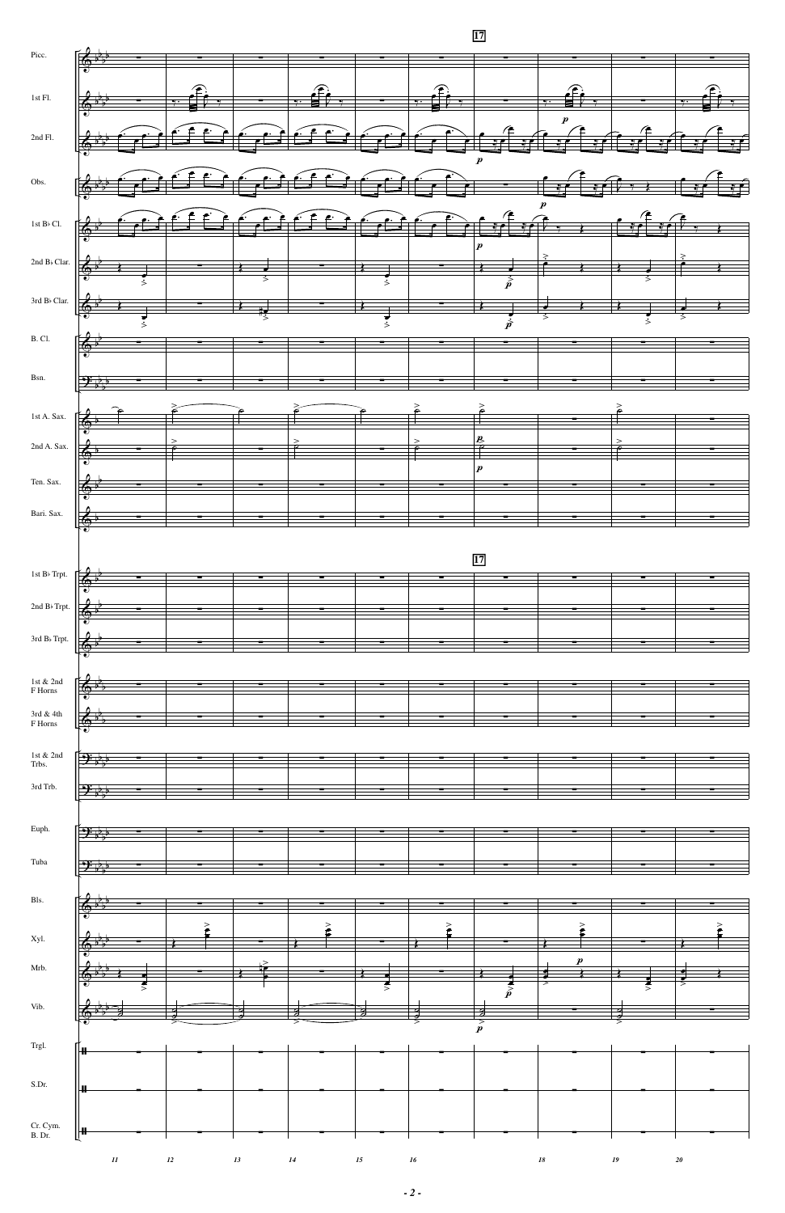| Picc.                                                                         |                            |                          |                                                                                                                                                                                                                                                                                                                                                                                                                      |                          |          |                           |        |                      |                                                                                                                                                                                                                                                                                                                                 |  |                                                                                                                                                                                                                                                                                                                                                                                              |
|-------------------------------------------------------------------------------|----------------------------|--------------------------|----------------------------------------------------------------------------------------------------------------------------------------------------------------------------------------------------------------------------------------------------------------------------------------------------------------------------------------------------------------------------------------------------------------------|--------------------------|----------|---------------------------|--------|----------------------|---------------------------------------------------------------------------------------------------------------------------------------------------------------------------------------------------------------------------------------------------------------------------------------------------------------------------------|--|----------------------------------------------------------------------------------------------------------------------------------------------------------------------------------------------------------------------------------------------------------------------------------------------------------------------------------------------------------------------------------------------|
|                                                                               |                            |                          |                                                                                                                                                                                                                                                                                                                                                                                                                      |                          |          |                           |        |                      |                                                                                                                                                                                                                                                                                                                                 |  |                                                                                                                                                                                                                                                                                                                                                                                              |
|                                                                               |                            |                          |                                                                                                                                                                                                                                                                                                                                                                                                                      |                          |          |                           |        |                      |                                                                                                                                                                                                                                                                                                                                 |  |                                                                                                                                                                                                                                                                                                                                                                                              |
|                                                                               |                            |                          |                                                                                                                                                                                                                                                                                                                                                                                                                      |                          |          |                           |        |                      |                                                                                                                                                                                                                                                                                                                                 |  |                                                                                                                                                                                                                                                                                                                                                                                              |
| $1\rm st$ Fl.                                                                 |                            | $\overline{\phantom{a}}$ |                                                                                                                                                                                                                                                                                                                                                                                                                      |                          |          |                           |        |                      | $\frac{1}{2}$ , $\frac{1}{2}$ , $\frac{1}{2}$ , $\frac{1}{2}$ , $\frac{1}{2}$ , $\frac{1}{2}$ , $\frac{1}{2}$ , $\frac{1}{2}$ , $\frac{1}{2}$ , $\frac{1}{2}$ , $\frac{1}{2}$ , $\frac{1}{2}$ , $\frac{1}{2}$ , $\frac{1}{2}$ , $\frac{1}{2}$ , $\frac{1}{2}$ , $\frac{1}{2}$ , $\frac{1}{2}$ , $\frac{1}{2}$ , $\frac{1}{2}$ , |  |                                                                                                                                                                                                                                                                                                                                                                                              |
|                                                                               |                            |                          |                                                                                                                                                                                                                                                                                                                                                                                                                      |                          |          |                           |        |                      |                                                                                                                                                                                                                                                                                                                                 |  |                                                                                                                                                                                                                                                                                                                                                                                              |
|                                                                               |                            |                          |                                                                                                                                                                                                                                                                                                                                                                                                                      |                          |          |                           |        |                      |                                                                                                                                                                                                                                                                                                                                 |  |                                                                                                                                                                                                                                                                                                                                                                                              |
| $2$ nd Fl.                                                                    |                            |                          |                                                                                                                                                                                                                                                                                                                                                                                                                      |                          |          |                           |        |                      |                                                                                                                                                                                                                                                                                                                                 |  |                                                                                                                                                                                                                                                                                                                                                                                              |
|                                                                               |                            |                          |                                                                                                                                                                                                                                                                                                                                                                                                                      |                          |          |                           |        |                      |                                                                                                                                                                                                                                                                                                                                 |  |                                                                                                                                                                                                                                                                                                                                                                                              |
|                                                                               |                            |                          |                                                                                                                                                                                                                                                                                                                                                                                                                      |                          |          |                           |        |                      |                                                                                                                                                                                                                                                                                                                                 |  |                                                                                                                                                                                                                                                                                                                                                                                              |
| Obs.                                                                          |                            |                          |                                                                                                                                                                                                                                                                                                                                                                                                                      |                          |          |                           |        |                      |                                                                                                                                                                                                                                                                                                                                 |  | $\frac{1}{2}$                                                                                                                                                                                                                                                                                                                                                                                |
|                                                                               |                            |                          |                                                                                                                                                                                                                                                                                                                                                                                                                      |                          |          |                           |        |                      |                                                                                                                                                                                                                                                                                                                                 |  |                                                                                                                                                                                                                                                                                                                                                                                              |
|                                                                               |                            |                          |                                                                                                                                                                                                                                                                                                                                                                                                                      |                          |          |                           |        |                      |                                                                                                                                                                                                                                                                                                                                 |  |                                                                                                                                                                                                                                                                                                                                                                                              |
| $1$ st B $\overline{b}$ Cl.                                                   |                            |                          |                                                                                                                                                                                                                                                                                                                                                                                                                      |                          |          |                           |        |                      |                                                                                                                                                                                                                                                                                                                                 |  | $\frac{1}{2} \frac{1}{2} \frac{1}{2} \frac{1}{2} \frac{1}{2} \frac{1}{2} \frac{1}{2} \frac{1}{2} \frac{1}{2} \frac{1}{2} \frac{1}{2} \frac{1}{2} \frac{1}{2} \frac{1}{2} \frac{1}{2} \frac{1}{2} \frac{1}{2} \frac{1}{2} \frac{1}{2} \frac{1}{2} \frac{1}{2} \frac{1}{2} \frac{1}{2} \frac{1}{2} \frac{1}{2} \frac{1}{2} \frac{1}{2} \frac{1}{2} \frac{1}{2} \frac{1}{2} \frac{1}{2} \frac{$ |
|                                                                               |                            |                          |                                                                                                                                                                                                                                                                                                                                                                                                                      |                          |          |                           |        |                      |                                                                                                                                                                                                                                                                                                                                 |  |                                                                                                                                                                                                                                                                                                                                                                                              |
|                                                                               |                            |                          |                                                                                                                                                                                                                                                                                                                                                                                                                      |                          |          |                           |        |                      |                                                                                                                                                                                                                                                                                                                                 |  |                                                                                                                                                                                                                                                                                                                                                                                              |
|                                                                               |                            |                          |                                                                                                                                                                                                                                                                                                                                                                                                                      |                          |          |                           |        |                      |                                                                                                                                                                                                                                                                                                                                 |  |                                                                                                                                                                                                                                                                                                                                                                                              |
| 2nd B <sub>b</sub> Clar.                                                      |                            |                          |                                                                                                                                                                                                                                                                                                                                                                                                                      |                          |          |                           |        |                      |                                                                                                                                                                                                                                                                                                                                 |  |                                                                                                                                                                                                                                                                                                                                                                                              |
|                                                                               |                            |                          |                                                                                                                                                                                                                                                                                                                                                                                                                      |                          |          |                           |        |                      |                                                                                                                                                                                                                                                                                                                                 |  |                                                                                                                                                                                                                                                                                                                                                                                              |
|                                                                               |                            |                          |                                                                                                                                                                                                                                                                                                                                                                                                                      |                          |          |                           |        |                      |                                                                                                                                                                                                                                                                                                                                 |  |                                                                                                                                                                                                                                                                                                                                                                                              |
|                                                                               | 3rd B <sub>b</sub> Clar.   |                          | $\frac{1}{\sqrt{1-\frac{1}{2}}\sqrt{1-\frac{1}{2}}\sqrt{1-\frac{1}{2}}\sqrt{1-\frac{1}{2}}\sqrt{1-\frac{1}{2}}\sqrt{1-\frac{1}{2}}\sqrt{1-\frac{1}{2}}\sqrt{1-\frac{1}{2}}\sqrt{1-\frac{1}{2}}\sqrt{1-\frac{1}{2}}\sqrt{1-\frac{1}{2}}\sqrt{1-\frac{1}{2}}\sqrt{1-\frac{1}{2}}\sqrt{1-\frac{1}{2}}\sqrt{1-\frac{1}{2}}\sqrt{1-\frac{1}{2}}\sqrt{1-\frac{1}{2}}\sqrt{1-\frac{1}{2}}\sqrt{1-\frac{1}{2}}\sqrt{1-\frac$ | $\frac{1}{2}$            |          | $\overrightarrow{ }$<br>妻 |        | $\overrightarrow{ }$ | $\frac{1}{\sqrt{2}}$                                                                                                                                                                                                                                                                                                            |  |                                                                                                                                                                                                                                                                                                                                                                                              |
|                                                                               |                            |                          |                                                                                                                                                                                                                                                                                                                                                                                                                      |                          |          |                           |        |                      |                                                                                                                                                                                                                                                                                                                                 |  |                                                                                                                                                                                                                                                                                                                                                                                              |
|                                                                               |                            |                          |                                                                                                                                                                                                                                                                                                                                                                                                                      |                          |          |                           |        |                      |                                                                                                                                                                                                                                                                                                                                 |  |                                                                                                                                                                                                                                                                                                                                                                                              |
| $\,$ B. Cl.                                                                   |                            |                          |                                                                                                                                                                                                                                                                                                                                                                                                                      |                          |          |                           |        |                      |                                                                                                                                                                                                                                                                                                                                 |  |                                                                                                                                                                                                                                                                                                                                                                                              |
|                                                                               |                            |                          |                                                                                                                                                                                                                                                                                                                                                                                                                      |                          |          |                           |        |                      |                                                                                                                                                                                                                                                                                                                                 |  |                                                                                                                                                                                                                                                                                                                                                                                              |
|                                                                               |                            |                          |                                                                                                                                                                                                                                                                                                                                                                                                                      |                          |          |                           |        |                      |                                                                                                                                                                                                                                                                                                                                 |  |                                                                                                                                                                                                                                                                                                                                                                                              |
| Bsn.                                                                          | $\mathbf{P}:\mathbf{P}$    |                          |                                                                                                                                                                                                                                                                                                                                                                                                                      |                          |          |                           |        |                      |                                                                                                                                                                                                                                                                                                                                 |  |                                                                                                                                                                                                                                                                                                                                                                                              |
|                                                                               |                            |                          |                                                                                                                                                                                                                                                                                                                                                                                                                      |                          |          |                           |        |                      |                                                                                                                                                                                                                                                                                                                                 |  |                                                                                                                                                                                                                                                                                                                                                                                              |
|                                                                               |                            |                          |                                                                                                                                                                                                                                                                                                                                                                                                                      |                          |          |                           |        |                      |                                                                                                                                                                                                                                                                                                                                 |  |                                                                                                                                                                                                                                                                                                                                                                                              |
| $1st$ A. Sax. $\,$                                                            |                            |                          |                                                                                                                                                                                                                                                                                                                                                                                                                      |                          |          |                           |        |                      |                                                                                                                                                                                                                                                                                                                                 |  |                                                                                                                                                                                                                                                                                                                                                                                              |
|                                                                               |                            |                          |                                                                                                                                                                                                                                                                                                                                                                                                                      |                          |          |                           |        |                      |                                                                                                                                                                                                                                                                                                                                 |  |                                                                                                                                                                                                                                                                                                                                                                                              |
| $2{\rm nd}$ A. Sax.                                                           |                            | $\blacksquare$           | $\frac{1}{\frac{1}{2}}$                                                                                                                                                                                                                                                                                                                                                                                              | $\overline{\phantom{0}}$ |          |                           |        |                      | т                                                                                                                                                                                                                                                                                                                               |  |                                                                                                                                                                                                                                                                                                                                                                                              |
|                                                                               |                            |                          |                                                                                                                                                                                                                                                                                                                                                                                                                      |                          |          |                           |        |                      |                                                                                                                                                                                                                                                                                                                                 |  |                                                                                                                                                                                                                                                                                                                                                                                              |
|                                                                               |                            |                          |                                                                                                                                                                                                                                                                                                                                                                                                                      |                          |          |                           |        | $\boldsymbol{p}$     |                                                                                                                                                                                                                                                                                                                                 |  |                                                                                                                                                                                                                                                                                                                                                                                              |
| Ten. Sax.                                                                     | $\mathbb{Z}^{\frac{1}{p}}$ | $\overline{\phantom{a}}$ | $\overline{\phantom{a}}$                                                                                                                                                                                                                                                                                                                                                                                             | $\overline{\phantom{0}}$ | $\equiv$ |                           |        |                      |                                                                                                                                                                                                                                                                                                                                 |  |                                                                                                                                                                                                                                                                                                                                                                                              |
|                                                                               | ∙                          |                          |                                                                                                                                                                                                                                                                                                                                                                                                                      |                          |          |                           |        |                      |                                                                                                                                                                                                                                                                                                                                 |  |                                                                                                                                                                                                                                                                                                                                                                                              |
| Bari. Sax.                                                                    |                            |                          |                                                                                                                                                                                                                                                                                                                                                                                                                      |                          |          |                           |        |                      |                                                                                                                                                                                                                                                                                                                                 |  |                                                                                                                                                                                                                                                                                                                                                                                              |
|                                                                               |                            |                          |                                                                                                                                                                                                                                                                                                                                                                                                                      |                          |          |                           |        |                      |                                                                                                                                                                                                                                                                                                                                 |  |                                                                                                                                                                                                                                                                                                                                                                                              |
|                                                                               |                            |                          |                                                                                                                                                                                                                                                                                                                                                                                                                      |                          |          |                           |        |                      |                                                                                                                                                                                                                                                                                                                                 |  |                                                                                                                                                                                                                                                                                                                                                                                              |
|                                                                               |                            |                          |                                                                                                                                                                                                                                                                                                                                                                                                                      |                          |          |                           |        |                      |                                                                                                                                                                                                                                                                                                                                 |  |                                                                                                                                                                                                                                                                                                                                                                                              |
|                                                                               |                            |                          |                                                                                                                                                                                                                                                                                                                                                                                                                      |                          |          |                           |        | 17                   |                                                                                                                                                                                                                                                                                                                                 |  |                                                                                                                                                                                                                                                                                                                                                                                              |
| 1st B $\flat$ Trpt.                                                           |                            |                          |                                                                                                                                                                                                                                                                                                                                                                                                                      |                          |          |                           |        |                      |                                                                                                                                                                                                                                                                                                                                 |  |                                                                                                                                                                                                                                                                                                                                                                                              |
|                                                                               |                            |                          |                                                                                                                                                                                                                                                                                                                                                                                                                      |                          |          |                           |        |                      |                                                                                                                                                                                                                                                                                                                                 |  |                                                                                                                                                                                                                                                                                                                                                                                              |
| 2nd $B$ <sup>b</sup> Trpt.                                                    |                            |                          |                                                                                                                                                                                                                                                                                                                                                                                                                      |                          |          |                           |        |                      |                                                                                                                                                                                                                                                                                                                                 |  |                                                                                                                                                                                                                                                                                                                                                                                              |
|                                                                               |                            |                          |                                                                                                                                                                                                                                                                                                                                                                                                                      |                          |          |                           |        |                      |                                                                                                                                                                                                                                                                                                                                 |  |                                                                                                                                                                                                                                                                                                                                                                                              |
|                                                                               |                            |                          |                                                                                                                                                                                                                                                                                                                                                                                                                      |                          |          |                           |        |                      |                                                                                                                                                                                                                                                                                                                                 |  |                                                                                                                                                                                                                                                                                                                                                                                              |
| $3\mathrm{rd}\ \mathrm{B}$ ) Trpt.                                            |                            |                          |                                                                                                                                                                                                                                                                                                                                                                                                                      |                          |          |                           |        |                      |                                                                                                                                                                                                                                                                                                                                 |  |                                                                                                                                                                                                                                                                                                                                                                                              |
|                                                                               |                            |                          |                                                                                                                                                                                                                                                                                                                                                                                                                      |                          |          |                           |        |                      |                                                                                                                                                                                                                                                                                                                                 |  |                                                                                                                                                                                                                                                                                                                                                                                              |
|                                                                               |                            |                          |                                                                                                                                                                                                                                                                                                                                                                                                                      |                          |          |                           |        |                      |                                                                                                                                                                                                                                                                                                                                 |  |                                                                                                                                                                                                                                                                                                                                                                                              |
| 1st & 2nd<br>F Horns                                                          |                            |                          |                                                                                                                                                                                                                                                                                                                                                                                                                      |                          |          |                           |        |                      |                                                                                                                                                                                                                                                                                                                                 |  |                                                                                                                                                                                                                                                                                                                                                                                              |
|                                                                               |                            |                          |                                                                                                                                                                                                                                                                                                                                                                                                                      |                          |          |                           |        |                      |                                                                                                                                                                                                                                                                                                                                 |  |                                                                                                                                                                                                                                                                                                                                                                                              |
|                                                                               |                            |                          |                                                                                                                                                                                                                                                                                                                                                                                                                      |                          |          |                           |        |                      |                                                                                                                                                                                                                                                                                                                                 |  |                                                                                                                                                                                                                                                                                                                                                                                              |
| $\begin{array}{c} \text{3rd} \ \& \ \text{4th} \\ \text{F Horns} \end{array}$ |                            |                          |                                                                                                                                                                                                                                                                                                                                                                                                                      |                          |          |                           |        |                      |                                                                                                                                                                                                                                                                                                                                 |  |                                                                                                                                                                                                                                                                                                                                                                                              |
|                                                                               |                            |                          |                                                                                                                                                                                                                                                                                                                                                                                                                      |                          |          |                           |        |                      |                                                                                                                                                                                                                                                                                                                                 |  |                                                                                                                                                                                                                                                                                                                                                                                              |
|                                                                               |                            |                          |                                                                                                                                                                                                                                                                                                                                                                                                                      |                          |          |                           |        |                      |                                                                                                                                                                                                                                                                                                                                 |  |                                                                                                                                                                                                                                                                                                                                                                                              |
| $1$ st & $2$ nd<br>Trbs.                                                      |                            |                          |                                                                                                                                                                                                                                                                                                                                                                                                                      |                          |          |                           |        |                      |                                                                                                                                                                                                                                                                                                                                 |  |                                                                                                                                                                                                                                                                                                                                                                                              |
|                                                                               |                            |                          |                                                                                                                                                                                                                                                                                                                                                                                                                      |                          |          |                           |        |                      |                                                                                                                                                                                                                                                                                                                                 |  |                                                                                                                                                                                                                                                                                                                                                                                              |
| 3rd Trb.                                                                      |                            |                          |                                                                                                                                                                                                                                                                                                                                                                                                                      |                          |          |                           |        |                      |                                                                                                                                                                                                                                                                                                                                 |  |                                                                                                                                                                                                                                                                                                                                                                                              |
|                                                                               |                            |                          |                                                                                                                                                                                                                                                                                                                                                                                                                      |                          |          |                           |        |                      |                                                                                                                                                                                                                                                                                                                                 |  |                                                                                                                                                                                                                                                                                                                                                                                              |
|                                                                               |                            |                          |                                                                                                                                                                                                                                                                                                                                                                                                                      |                          |          |                           |        |                      |                                                                                                                                                                                                                                                                                                                                 |  |                                                                                                                                                                                                                                                                                                                                                                                              |
| Euph.                                                                         |                            |                          |                                                                                                                                                                                                                                                                                                                                                                                                                      |                          |          |                           |        |                      |                                                                                                                                                                                                                                                                                                                                 |  |                                                                                                                                                                                                                                                                                                                                                                                              |
|                                                                               |                            |                          |                                                                                                                                                                                                                                                                                                                                                                                                                      |                          |          |                           |        |                      |                                                                                                                                                                                                                                                                                                                                 |  |                                                                                                                                                                                                                                                                                                                                                                                              |
|                                                                               |                            |                          |                                                                                                                                                                                                                                                                                                                                                                                                                      |                          |          |                           |        |                      |                                                                                                                                                                                                                                                                                                                                 |  |                                                                                                                                                                                                                                                                                                                                                                                              |
| Tuba                                                                          |                            |                          |                                                                                                                                                                                                                                                                                                                                                                                                                      |                          |          |                           |        |                      |                                                                                                                                                                                                                                                                                                                                 |  |                                                                                                                                                                                                                                                                                                                                                                                              |
|                                                                               |                            |                          |                                                                                                                                                                                                                                                                                                                                                                                                                      |                          |          |                           |        |                      |                                                                                                                                                                                                                                                                                                                                 |  |                                                                                                                                                                                                                                                                                                                                                                                              |
|                                                                               |                            |                          |                                                                                                                                                                                                                                                                                                                                                                                                                      |                          |          |                           |        |                      |                                                                                                                                                                                                                                                                                                                                 |  |                                                                                                                                                                                                                                                                                                                                                                                              |
| Bls.                                                                          |                            |                          |                                                                                                                                                                                                                                                                                                                                                                                                                      |                          |          |                           |        |                      |                                                                                                                                                                                                                                                                                                                                 |  |                                                                                                                                                                                                                                                                                                                                                                                              |
|                                                                               |                            |                          |                                                                                                                                                                                                                                                                                                                                                                                                                      |                          |          |                           |        |                      |                                                                                                                                                                                                                                                                                                                                 |  |                                                                                                                                                                                                                                                                                                                                                                                              |
|                                                                               |                            |                          | $\geq$                                                                                                                                                                                                                                                                                                                                                                                                               |                          | $\geq$   |                           | $\geq$ |                      | $\geq$                                                                                                                                                                                                                                                                                                                          |  | $\geq$                                                                                                                                                                                                                                                                                                                                                                                       |
| Xyl.                                                                          |                            |                          |                                                                                                                                                                                                                                                                                                                                                                                                                      |                          |          |                           |        |                      |                                                                                                                                                                                                                                                                                                                                 |  |                                                                                                                                                                                                                                                                                                                                                                                              |
|                                                                               |                            |                          |                                                                                                                                                                                                                                                                                                                                                                                                                      |                          |          |                           |        |                      |                                                                                                                                                                                                                                                                                                                                 |  |                                                                                                                                                                                                                                                                                                                                                                                              |
| Mrb.                                                                          |                            |                          |                                                                                                                                                                                                                                                                                                                                                                                                                      |                          |          |                           |        |                      |                                                                                                                                                                                                                                                                                                                                 |  |                                                                                                                                                                                                                                                                                                                                                                                              |
|                                                                               |                            |                          |                                                                                                                                                                                                                                                                                                                                                                                                                      |                          |          |                           |        |                      |                                                                                                                                                                                                                                                                                                                                 |  |                                                                                                                                                                                                                                                                                                                                                                                              |
|                                                                               |                            |                          |                                                                                                                                                                                                                                                                                                                                                                                                                      |                          |          |                           |        | $\vec{p}$            |                                                                                                                                                                                                                                                                                                                                 |  |                                                                                                                                                                                                                                                                                                                                                                                              |
| Vib.                                                                          |                            |                          |                                                                                                                                                                                                                                                                                                                                                                                                                      |                          |          |                           |        |                      |                                                                                                                                                                                                                                                                                                                                 |  |                                                                                                                                                                                                                                                                                                                                                                                              |
|                                                                               |                            |                          |                                                                                                                                                                                                                                                                                                                                                                                                                      |                          |          |                           |        | ○<br>d               |                                                                                                                                                                                                                                                                                                                                 |  |                                                                                                                                                                                                                                                                                                                                                                                              |
|                                                                               |                            |                          |                                                                                                                                                                                                                                                                                                                                                                                                                      |                          |          |                           |        | $\boldsymbol{p}$     |                                                                                                                                                                                                                                                                                                                                 |  |                                                                                                                                                                                                                                                                                                                                                                                              |
| Trgl.                                                                         |                            |                          |                                                                                                                                                                                                                                                                                                                                                                                                                      |                          |          |                           |        |                      |                                                                                                                                                                                                                                                                                                                                 |  |                                                                                                                                                                                                                                                                                                                                                                                              |
|                                                                               |                            |                          |                                                                                                                                                                                                                                                                                                                                                                                                                      |                          |          |                           |        |                      |                                                                                                                                                                                                                                                                                                                                 |  |                                                                                                                                                                                                                                                                                                                                                                                              |
|                                                                               |                            |                          |                                                                                                                                                                                                                                                                                                                                                                                                                      |                          |          |                           |        |                      |                                                                                                                                                                                                                                                                                                                                 |  |                                                                                                                                                                                                                                                                                                                                                                                              |
| S.Dr.                                                                         |                            |                          |                                                                                                                                                                                                                                                                                                                                                                                                                      |                          |          |                           |        |                      |                                                                                                                                                                                                                                                                                                                                 |  |                                                                                                                                                                                                                                                                                                                                                                                              |
|                                                                               |                            |                          |                                                                                                                                                                                                                                                                                                                                                                                                                      |                          |          |                           |        |                      |                                                                                                                                                                                                                                                                                                                                 |  |                                                                                                                                                                                                                                                                                                                                                                                              |
|                                                                               |                            |                          |                                                                                                                                                                                                                                                                                                                                                                                                                      |                          |          |                           |        |                      |                                                                                                                                                                                                                                                                                                                                 |  |                                                                                                                                                                                                                                                                                                                                                                                              |
|                                                                               |                            |                          |                                                                                                                                                                                                                                                                                                                                                                                                                      |                          |          |                           |        |                      |                                                                                                                                                                                                                                                                                                                                 |  |                                                                                                                                                                                                                                                                                                                                                                                              |
| Cr. Cym.<br>B. Dr.                                                            |                            |                          |                                                                                                                                                                                                                                                                                                                                                                                                                      |                          |          |                           |        |                      |                                                                                                                                                                                                                                                                                                                                 |  |                                                                                                                                                                                                                                                                                                                                                                                              |



*- 2 -*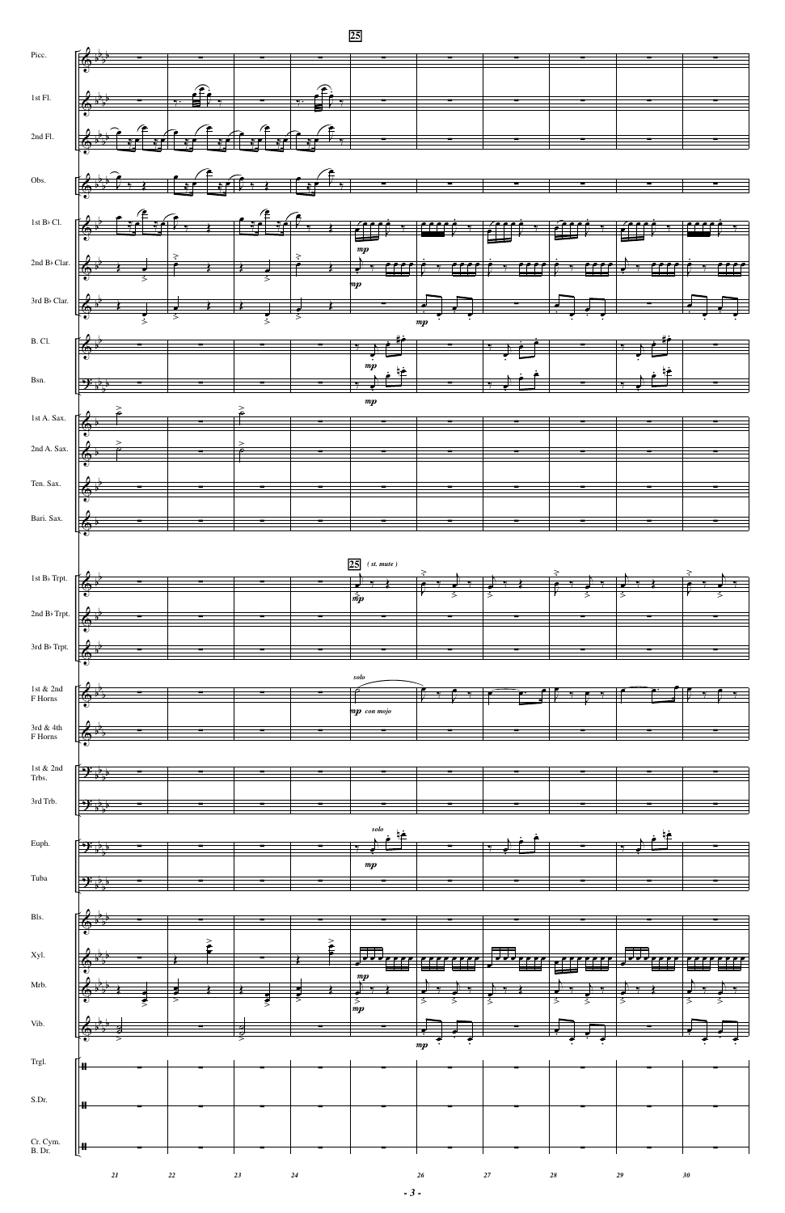

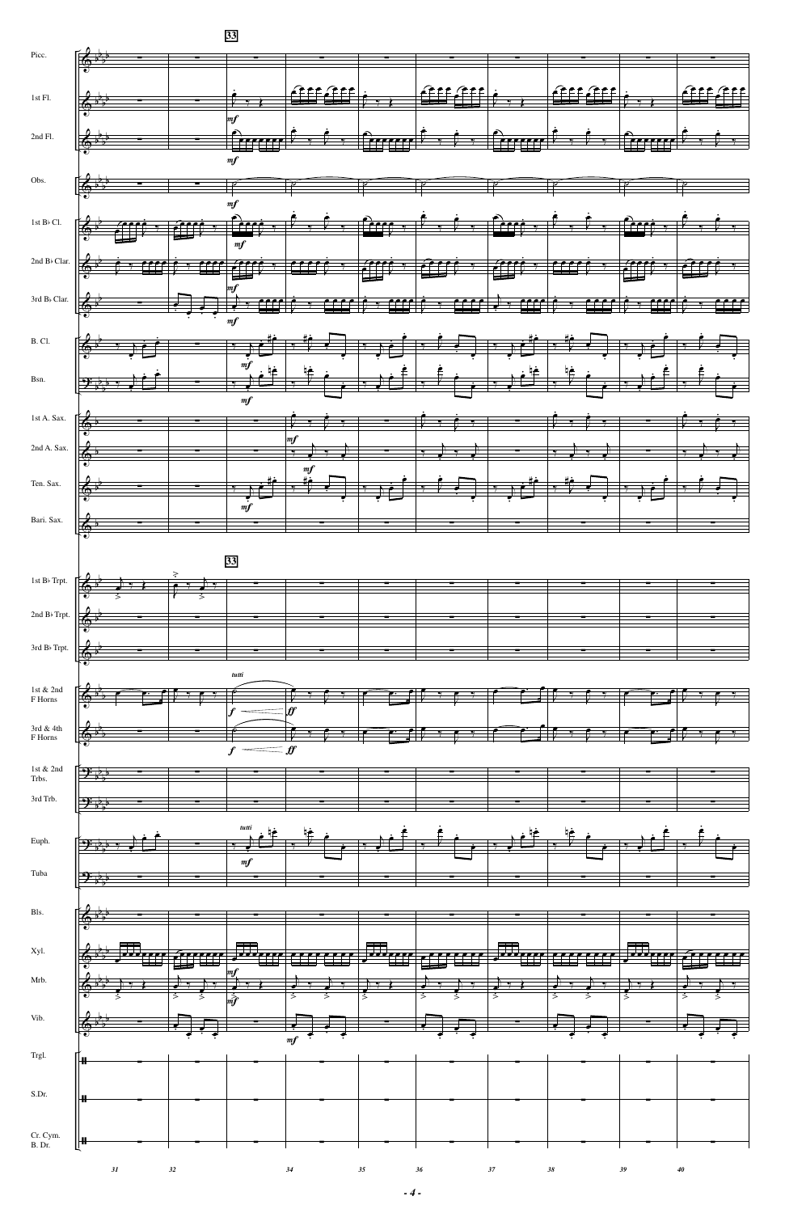



*- 4 -*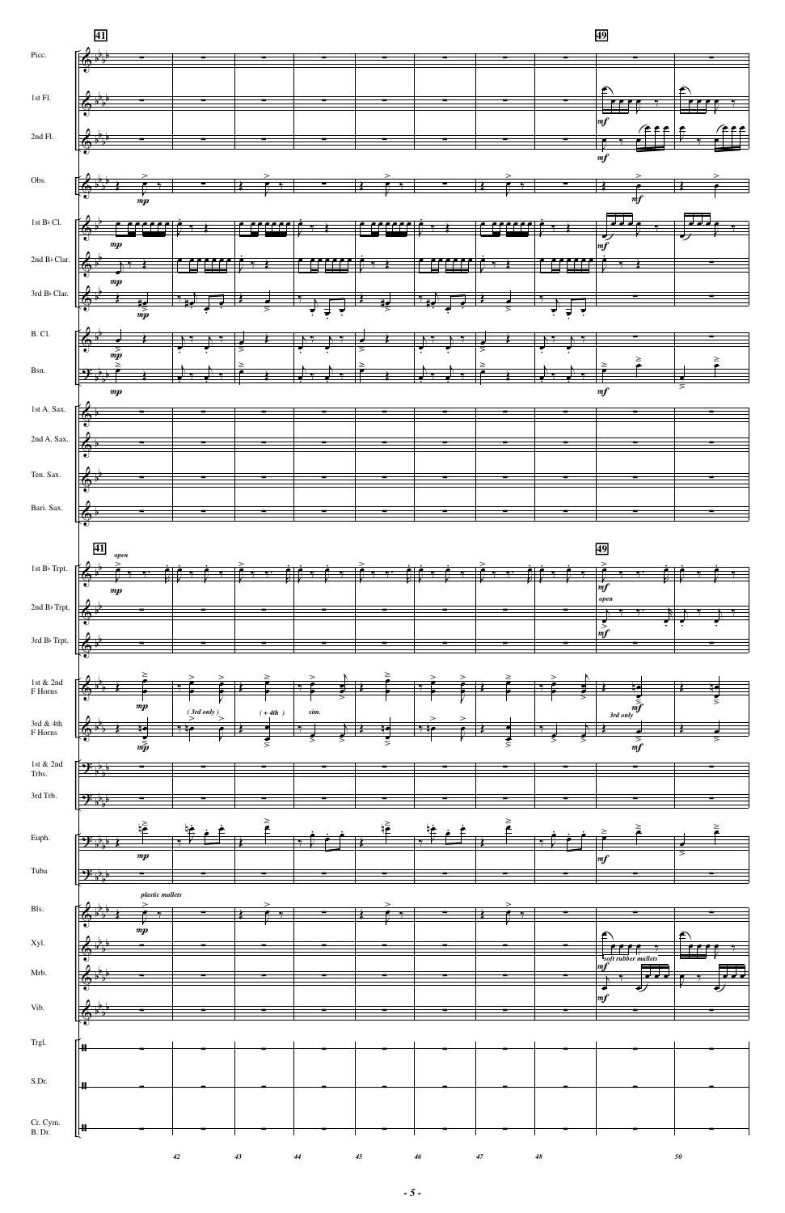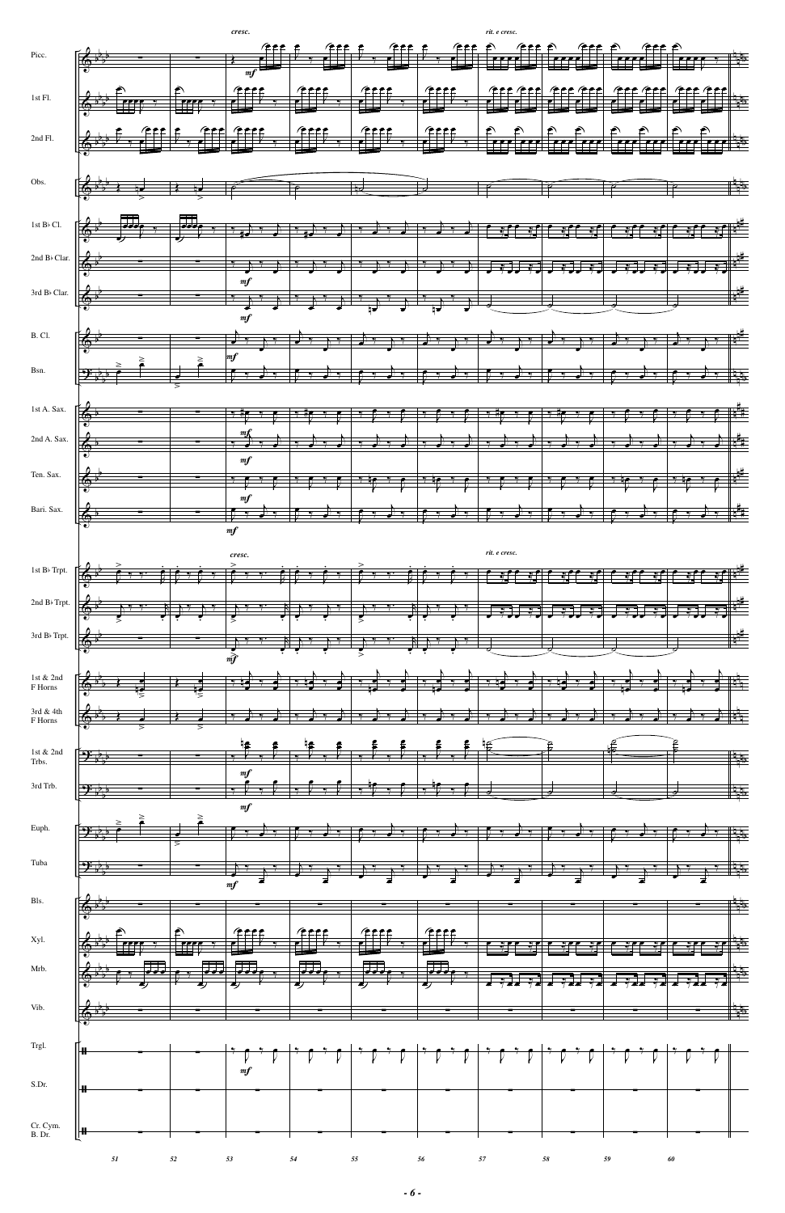

*- 6 -*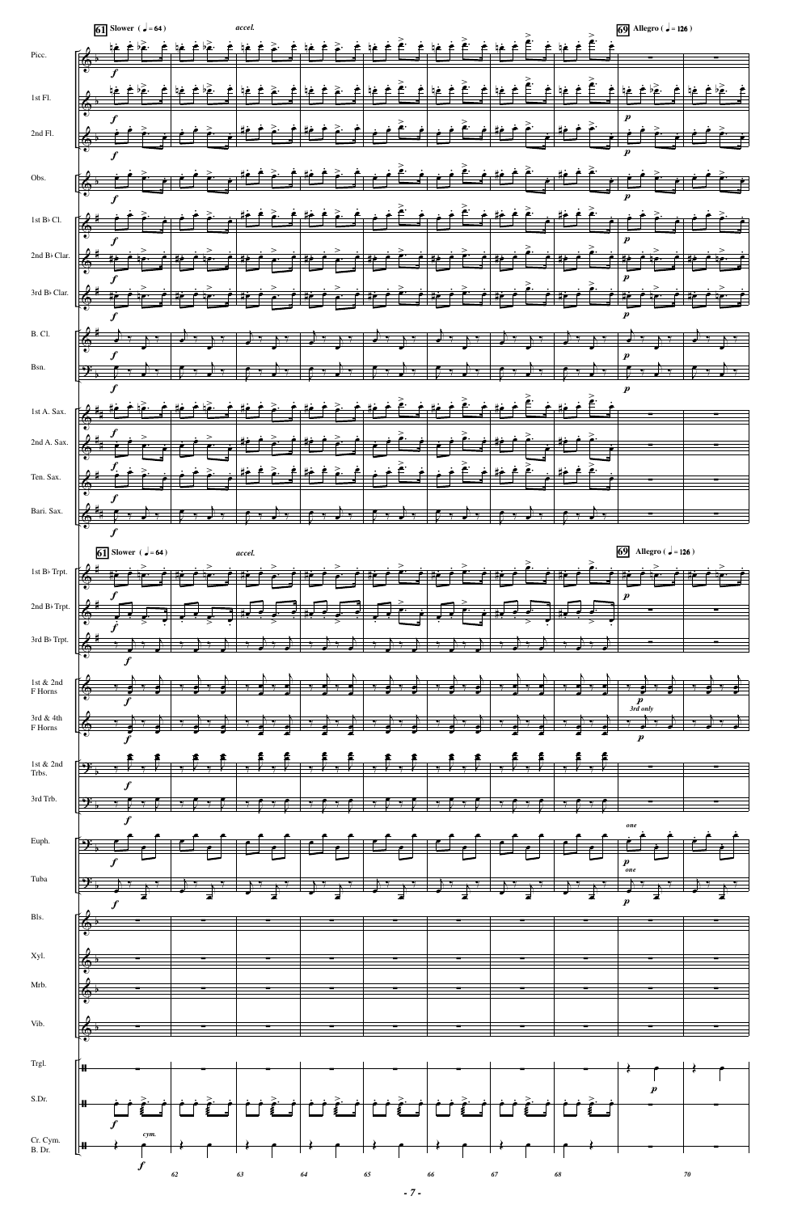

*- 7 -*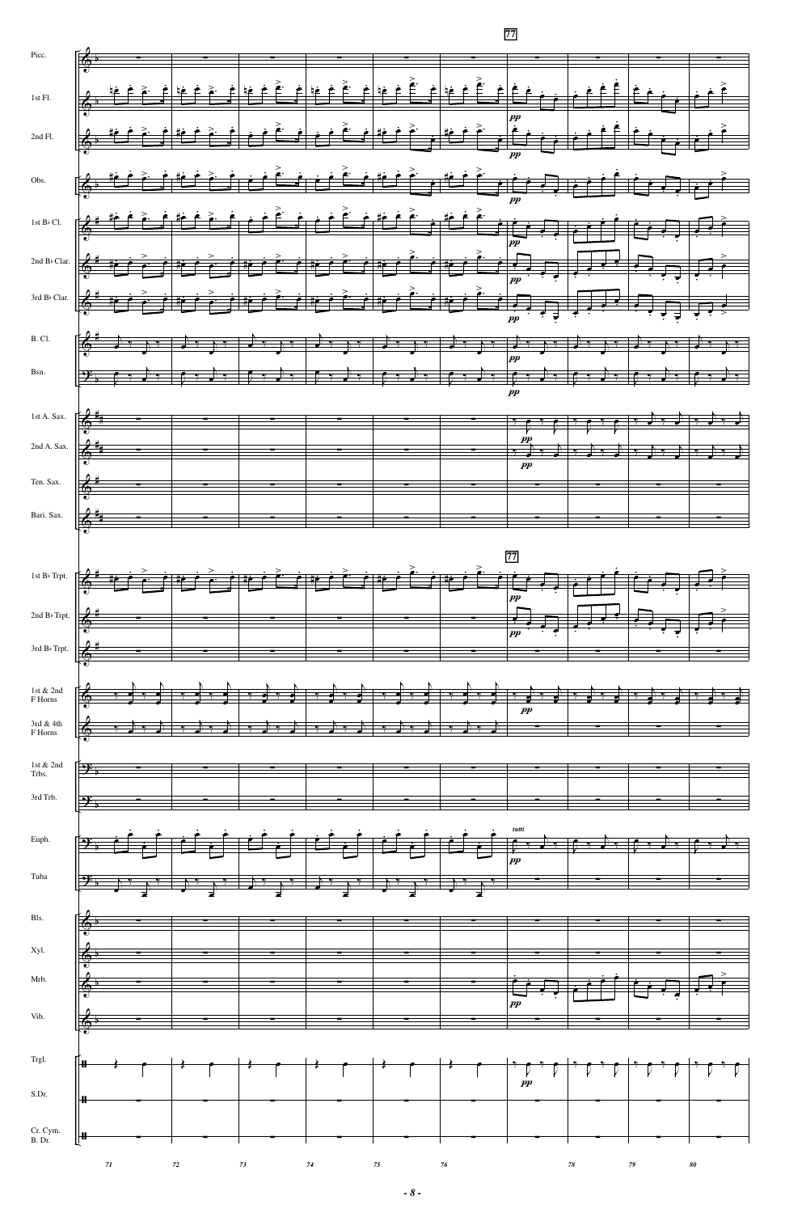

-  $\boldsymbol{8}$  -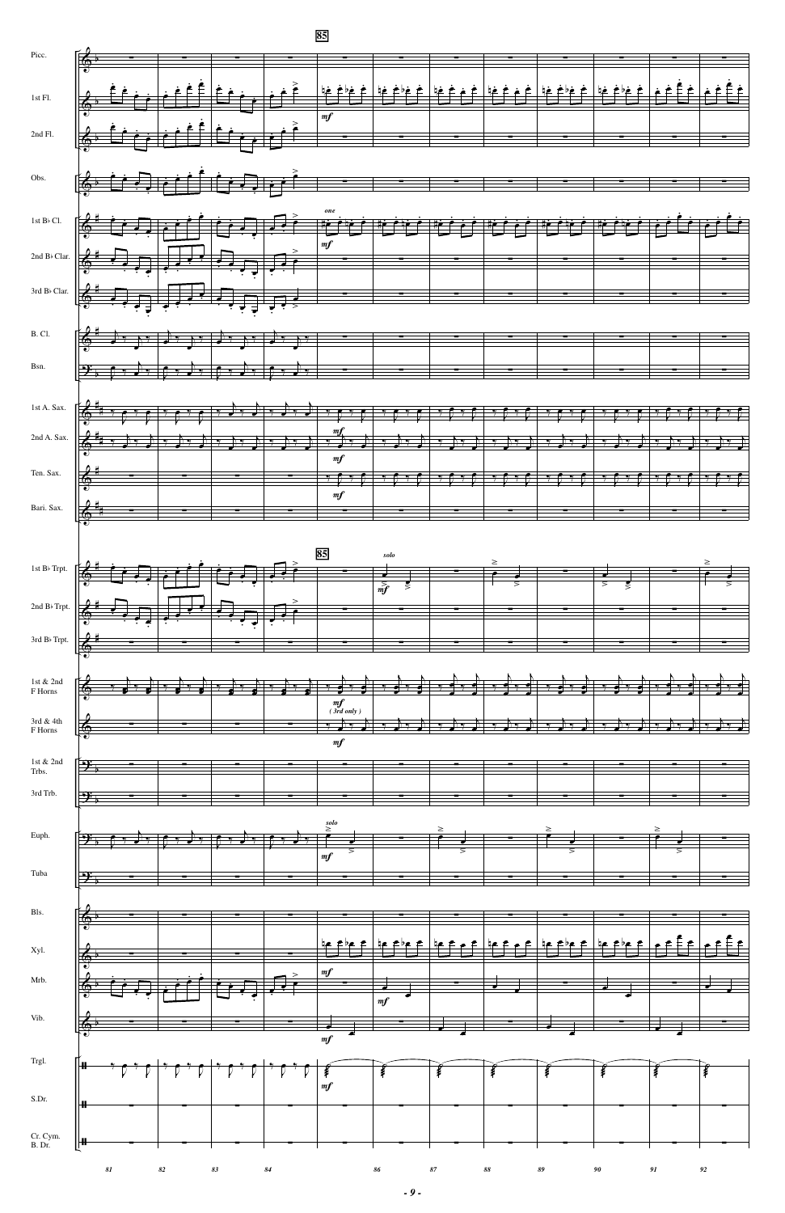b

Tuba

∑

∑

∑

∑





∑

**85**

∑

∑

∑

∑

∑

∑

∑

<u> 9:</u>

*- 9 -*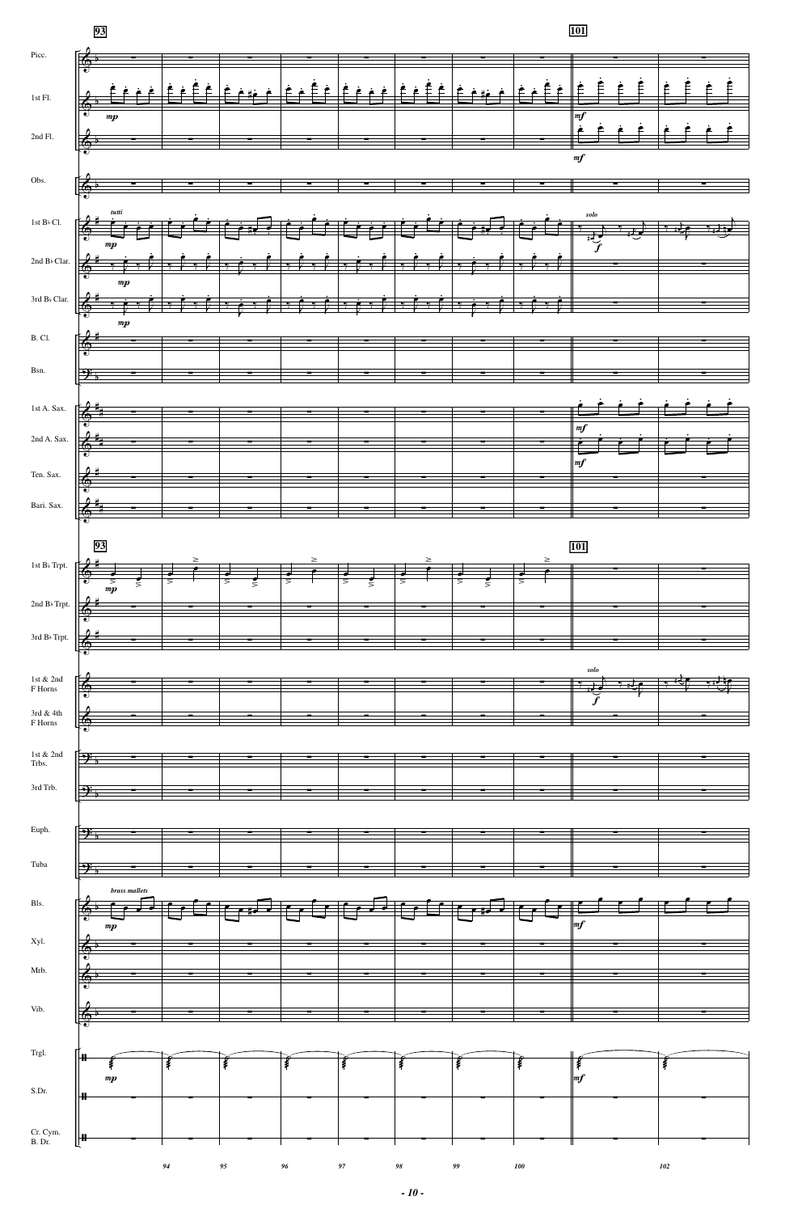

*- 10 -*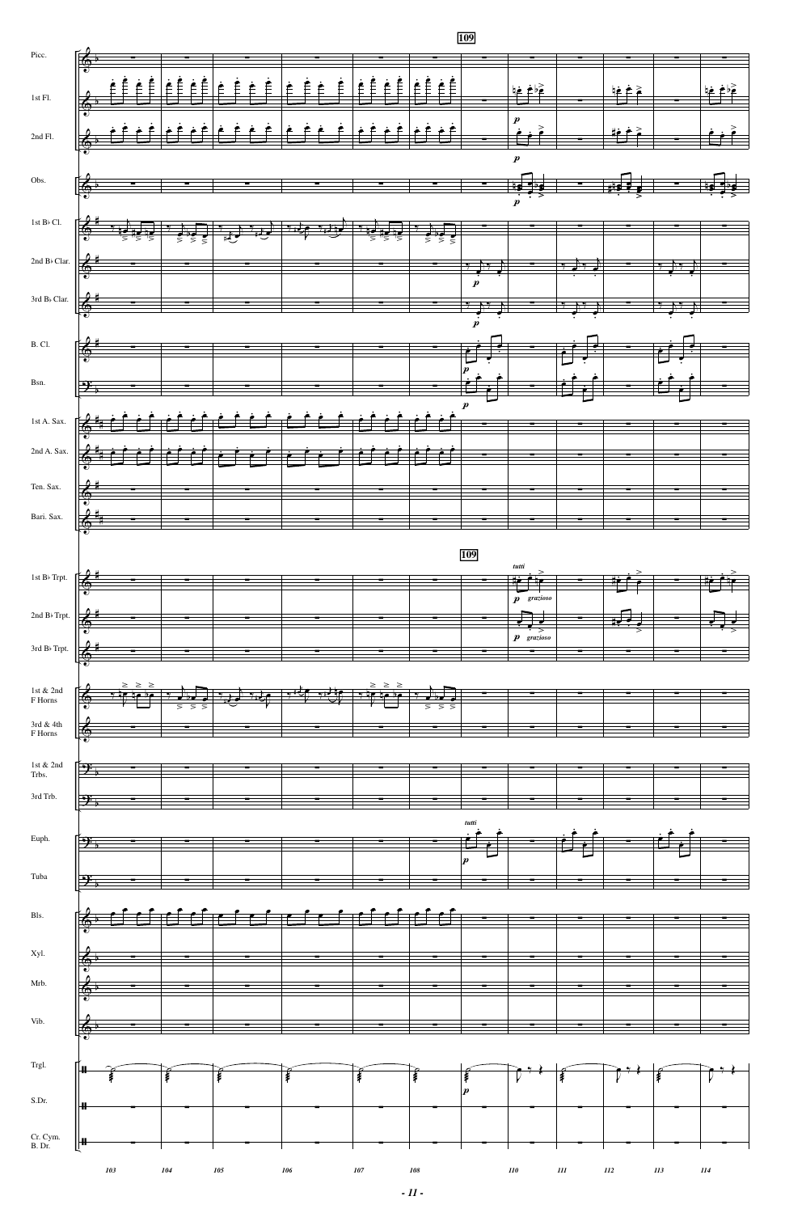



 $\hbox{-}11\hbox{-}$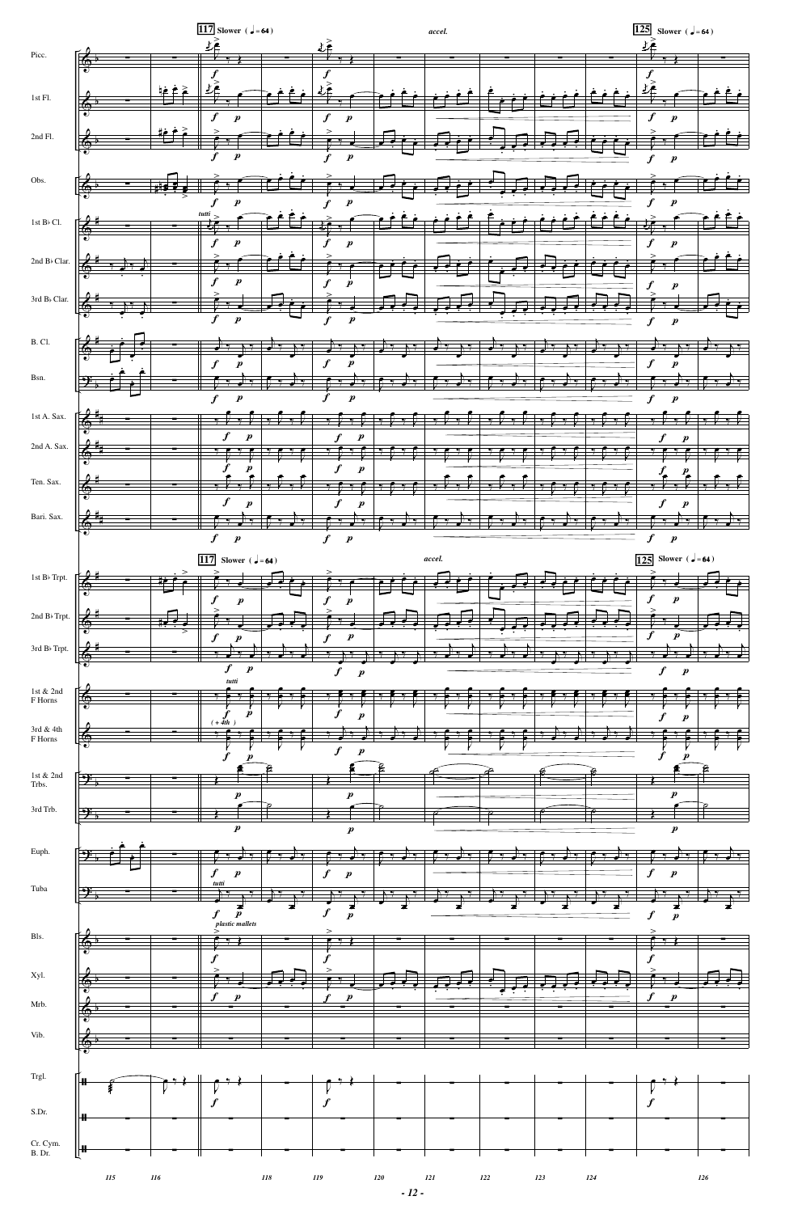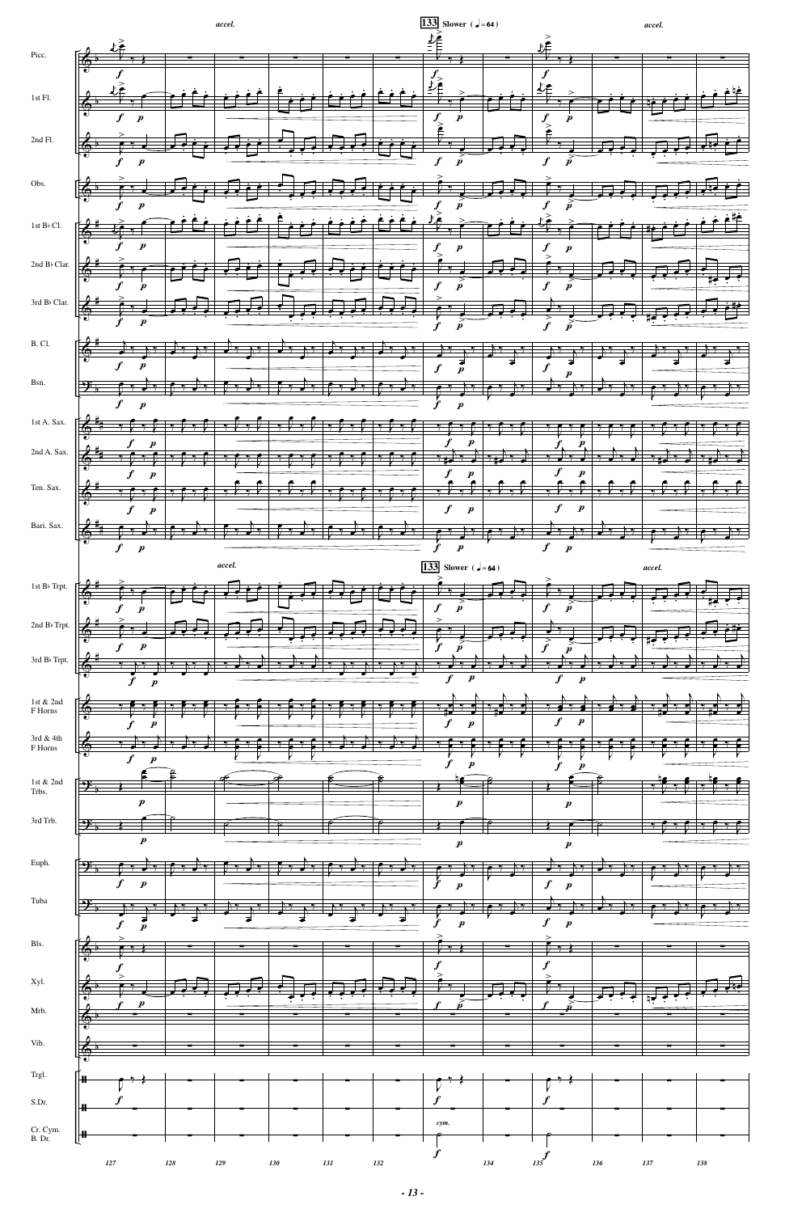

*- 13 -*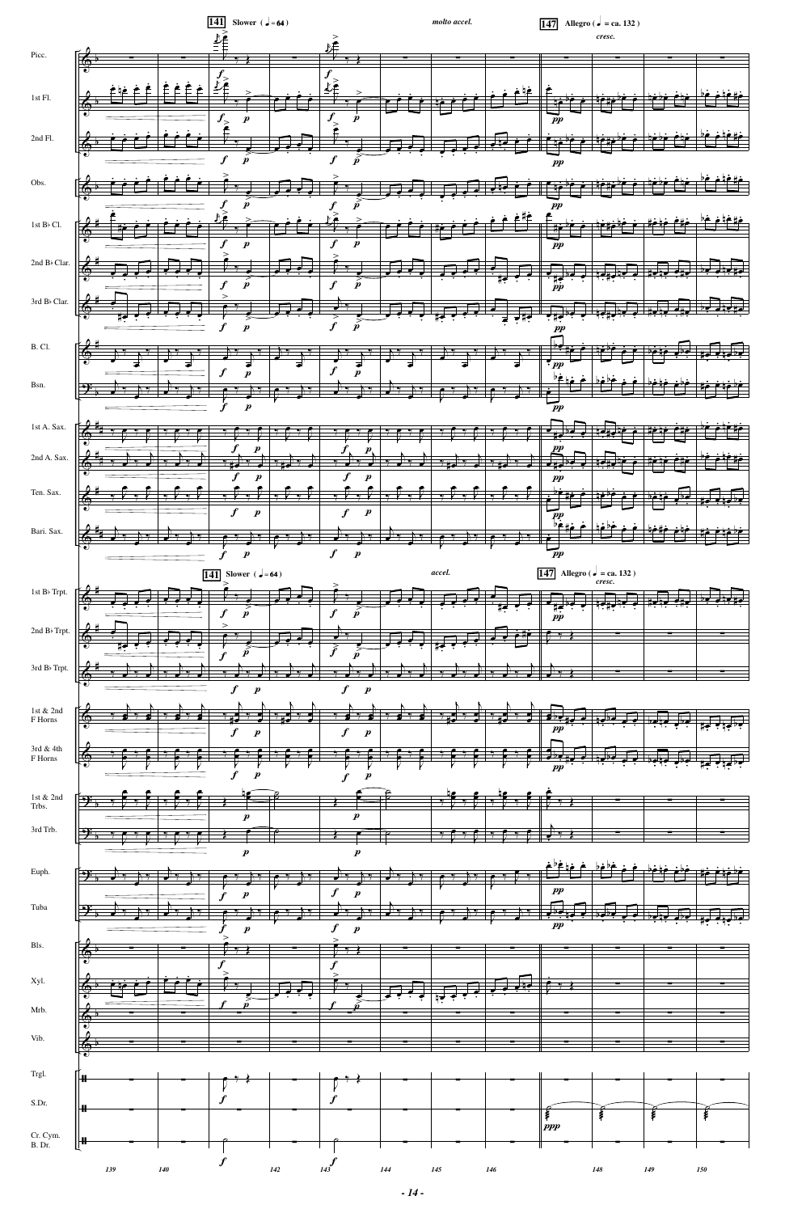

*- 14 -*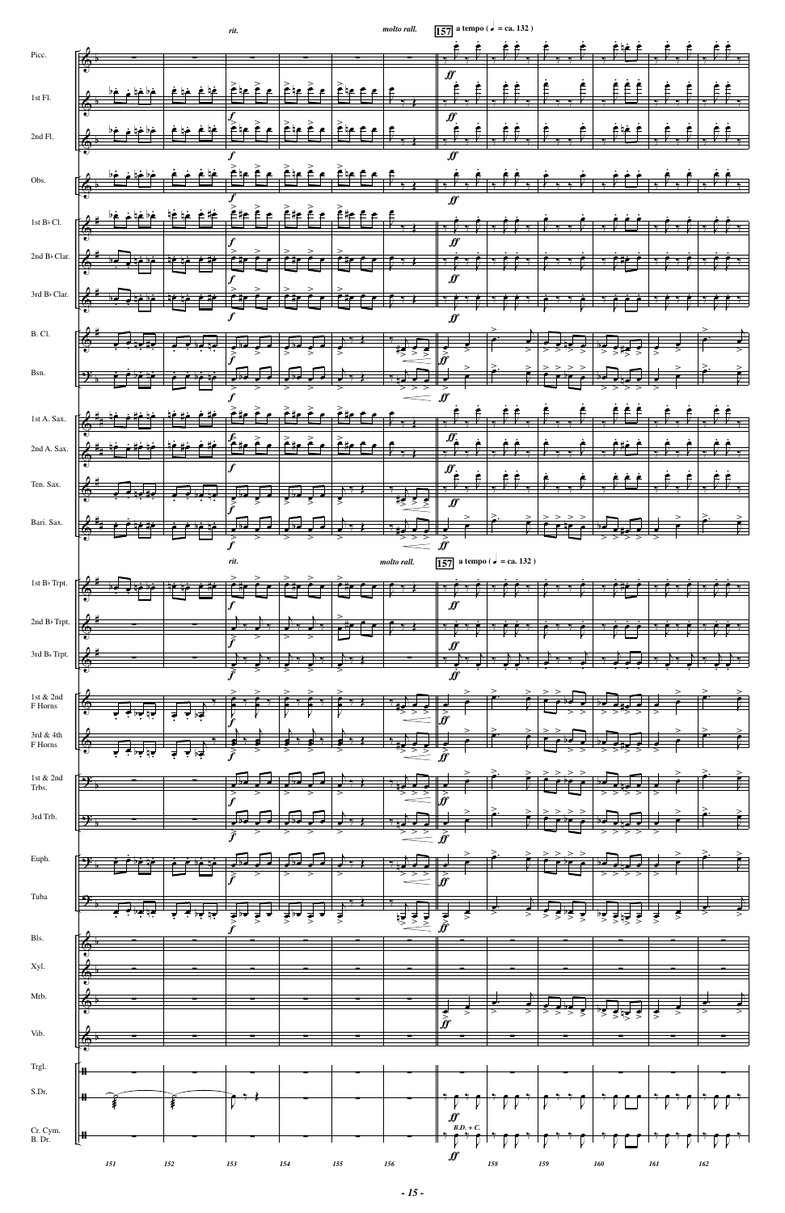

 $-15-$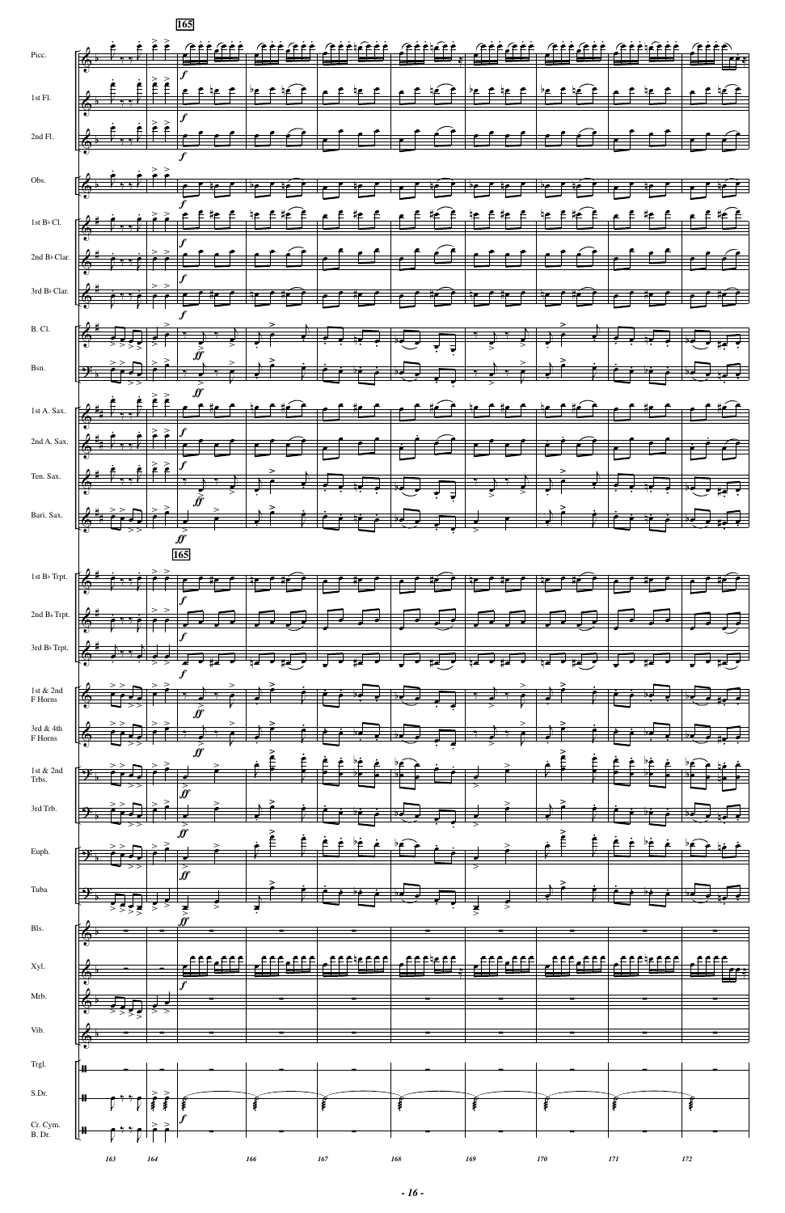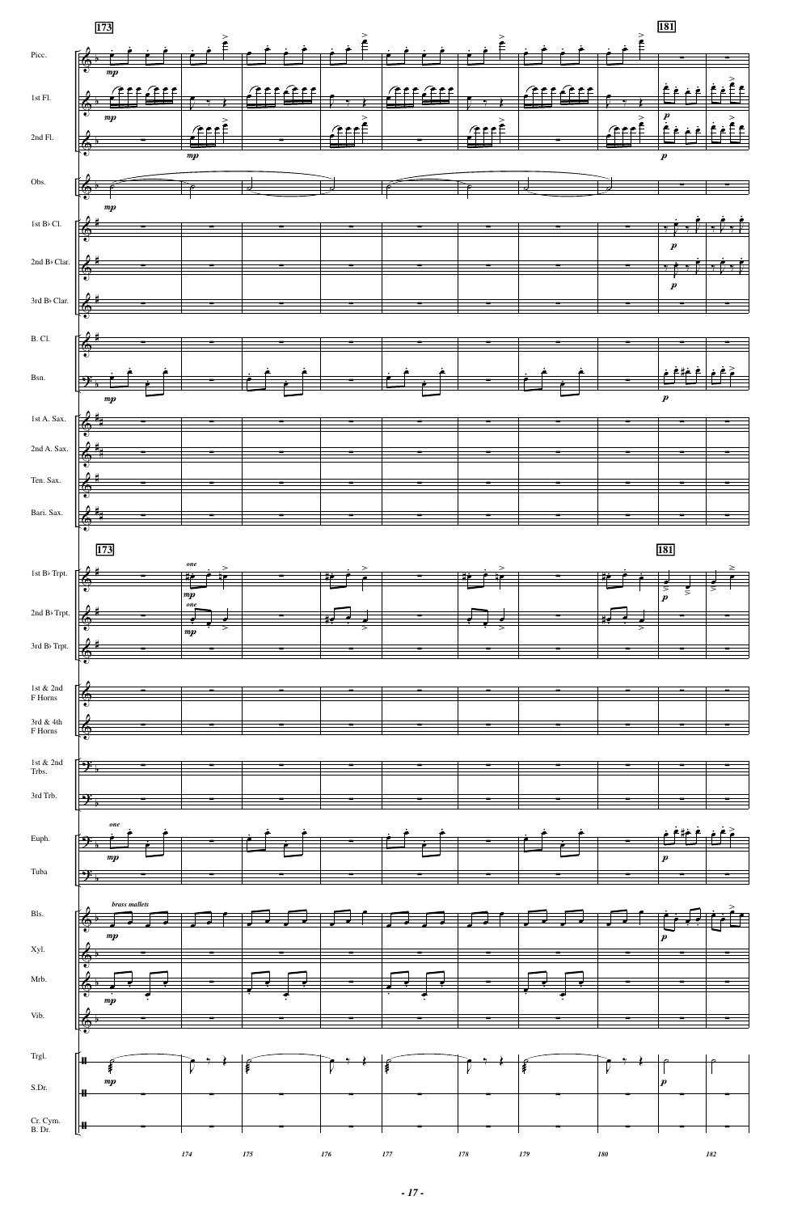



*- 17 -*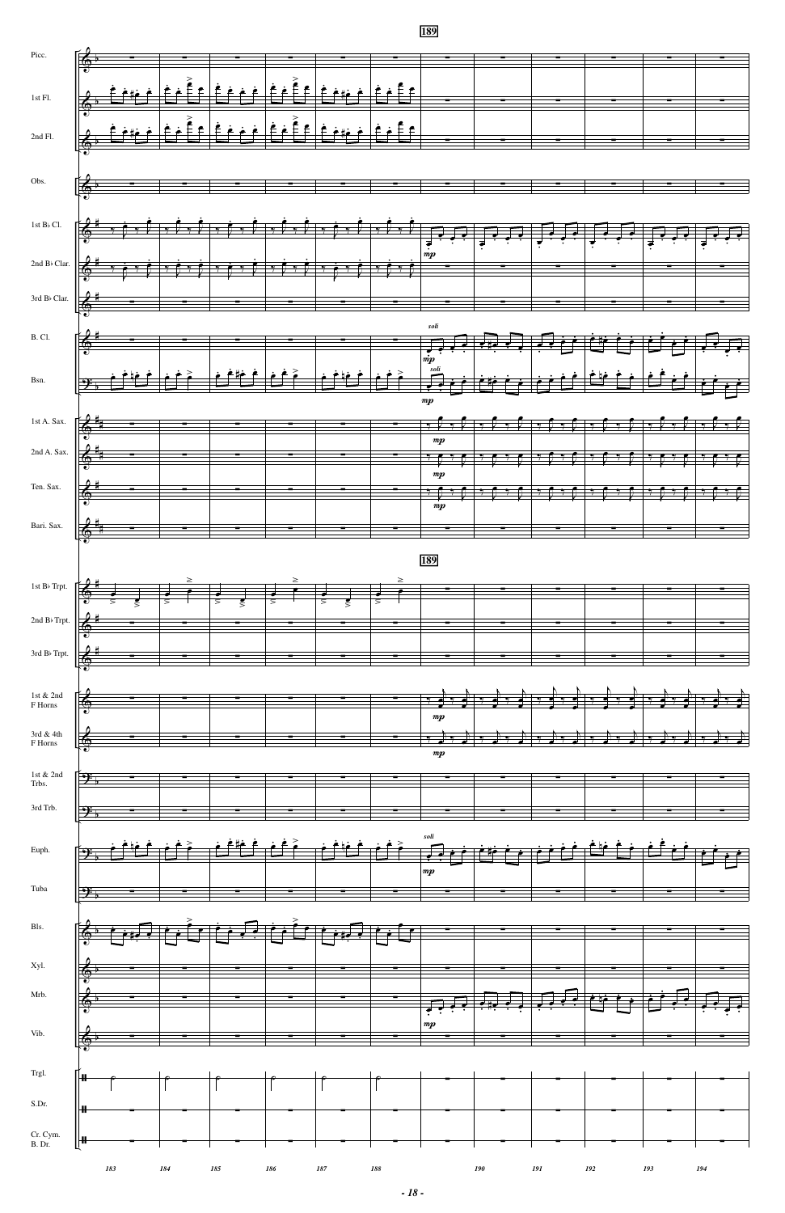

*- 18 -*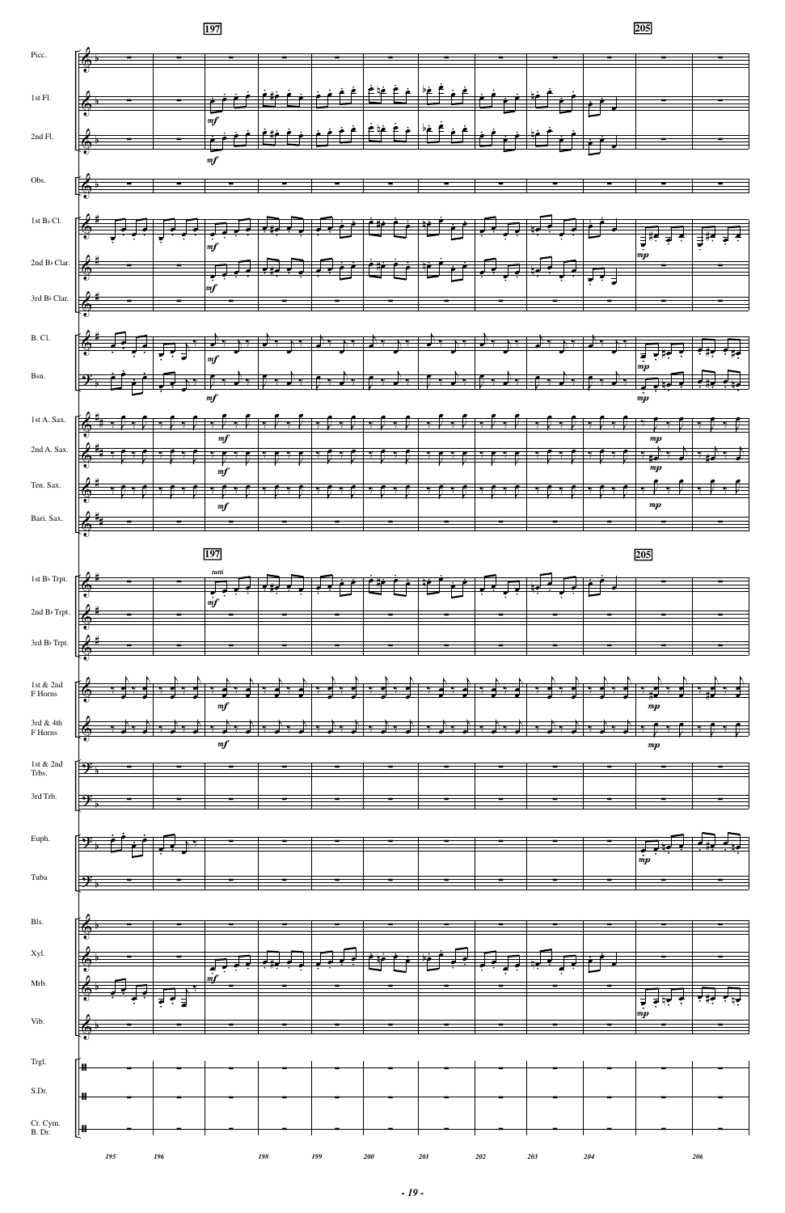





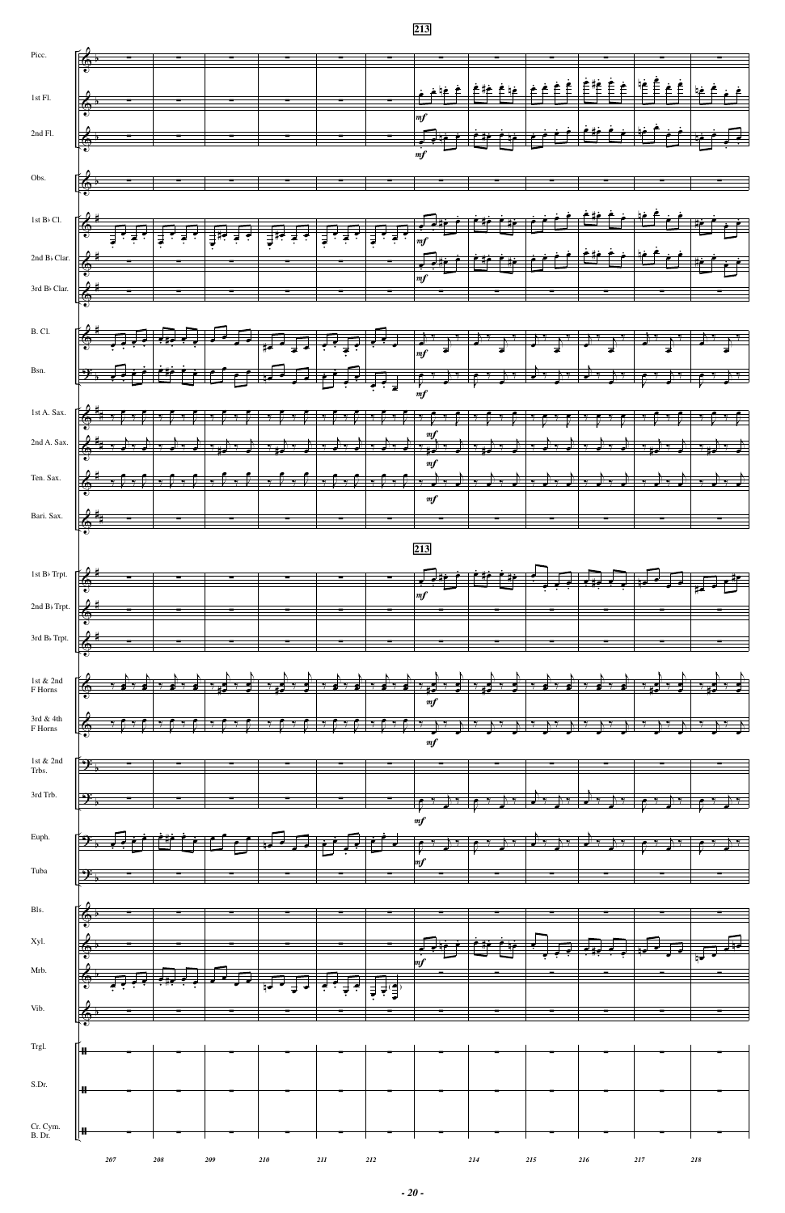

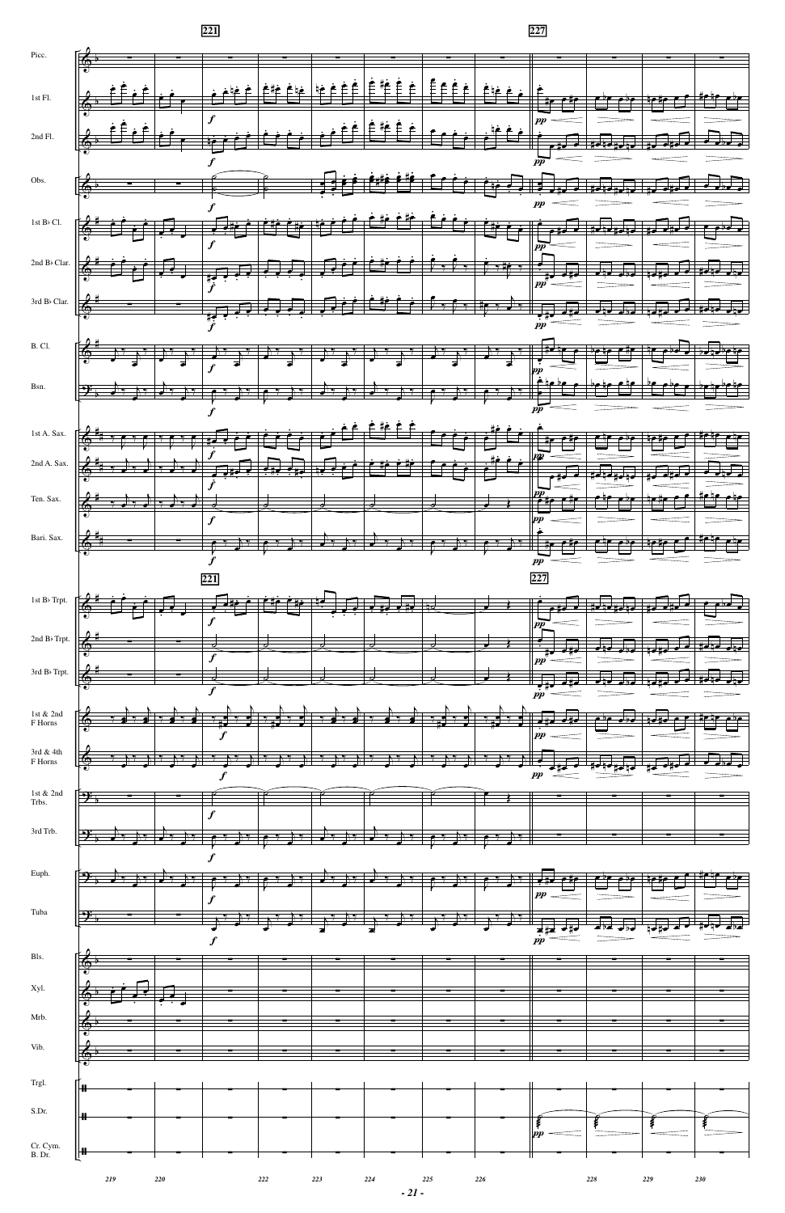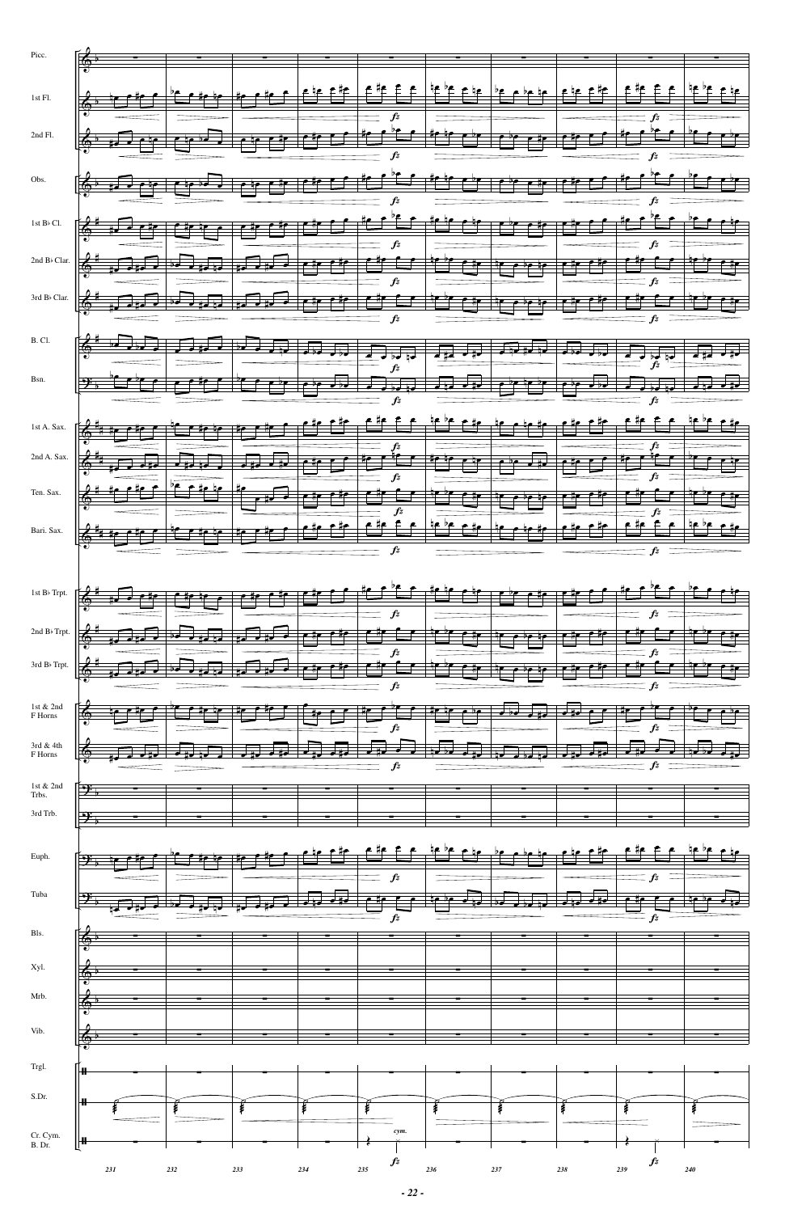

 $-22-$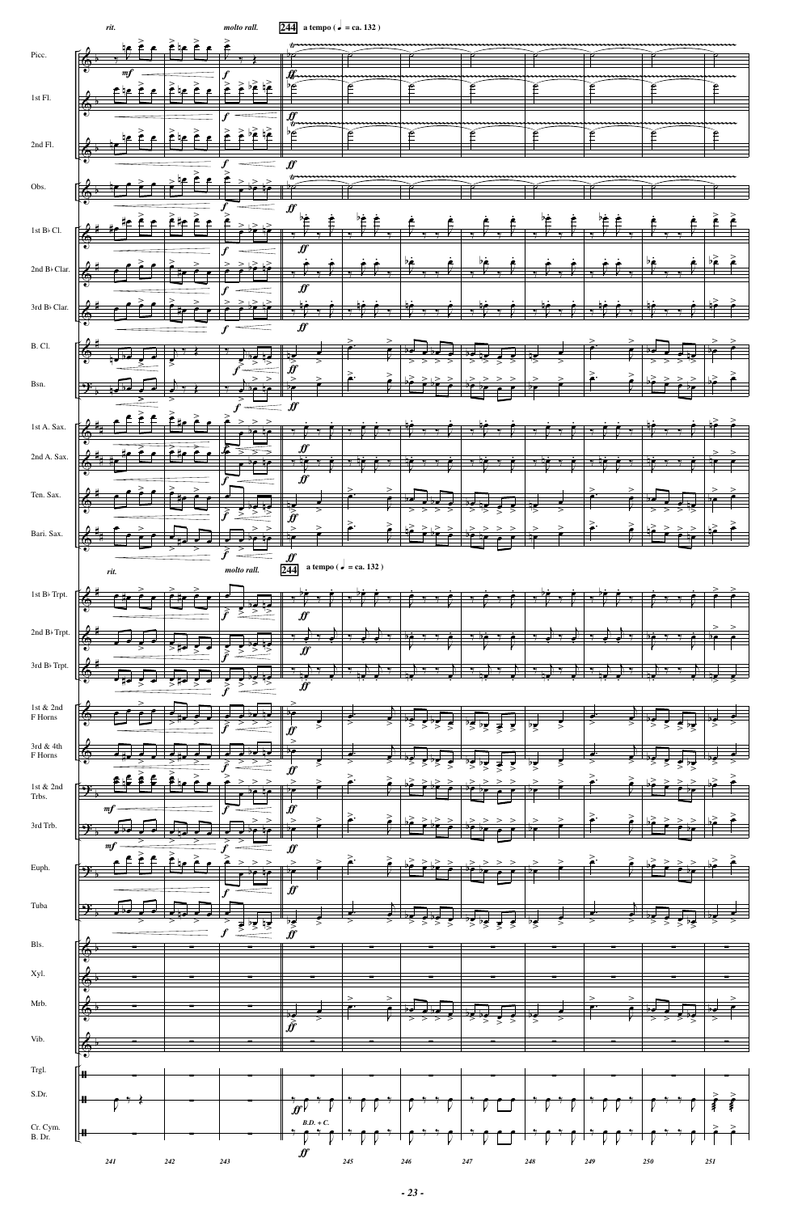

*- 23 -*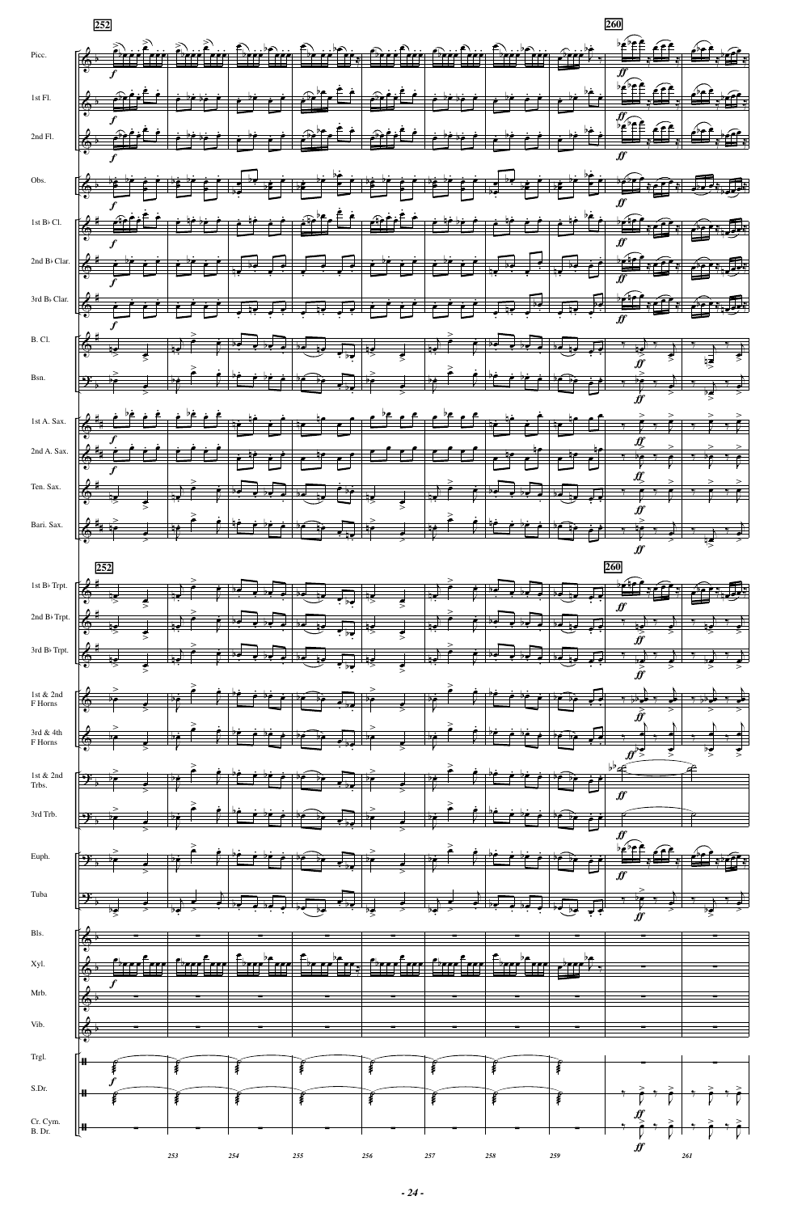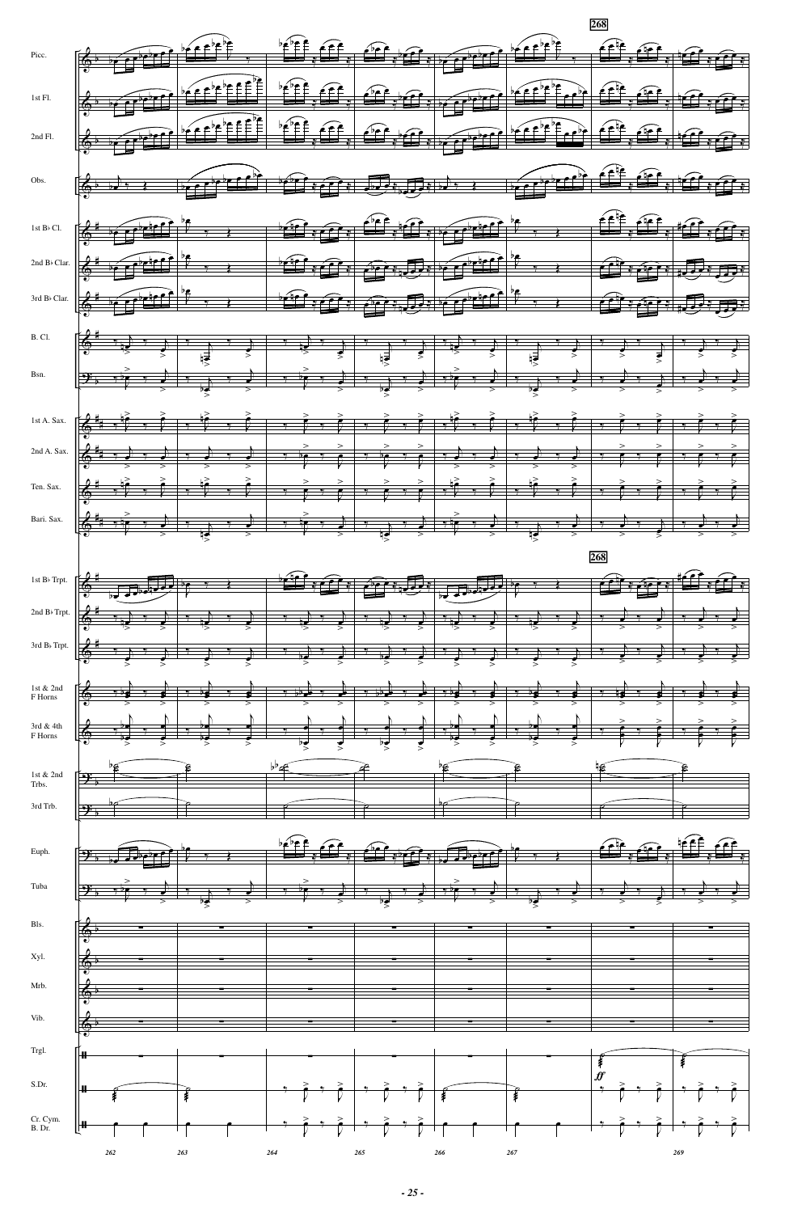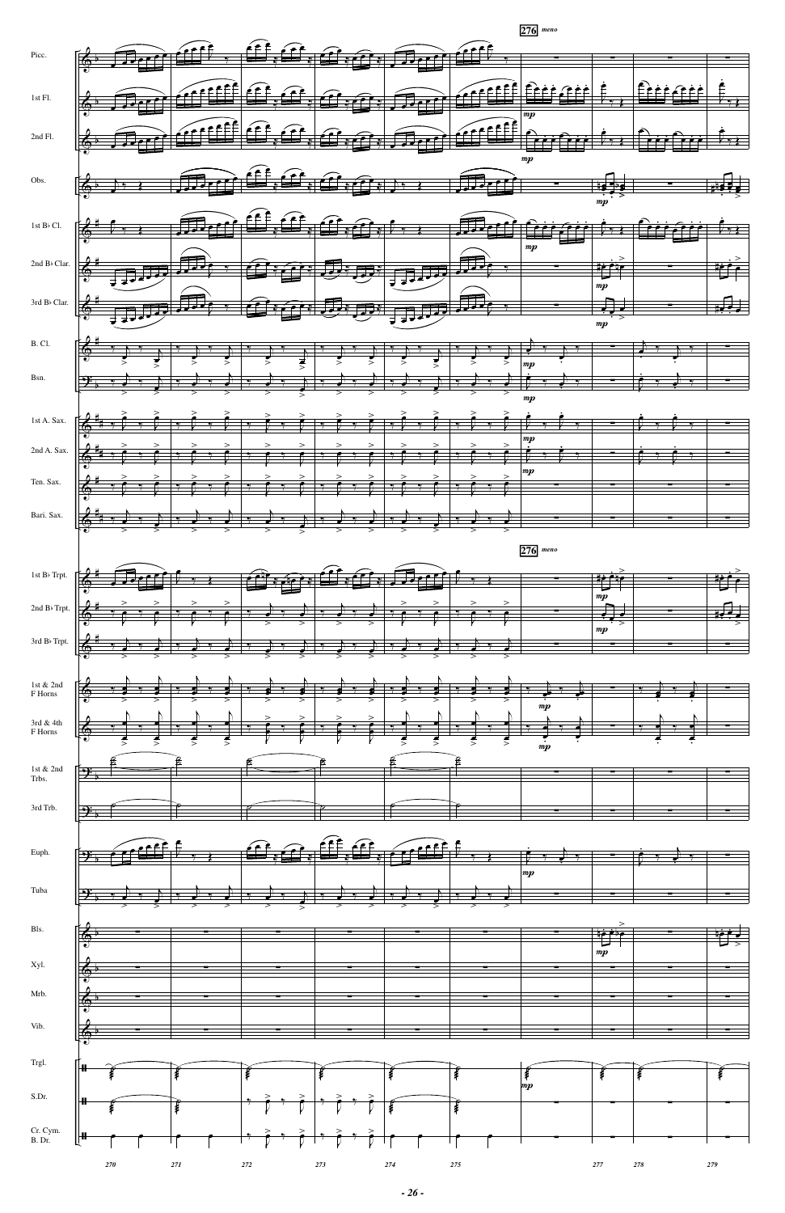

*- 26 -*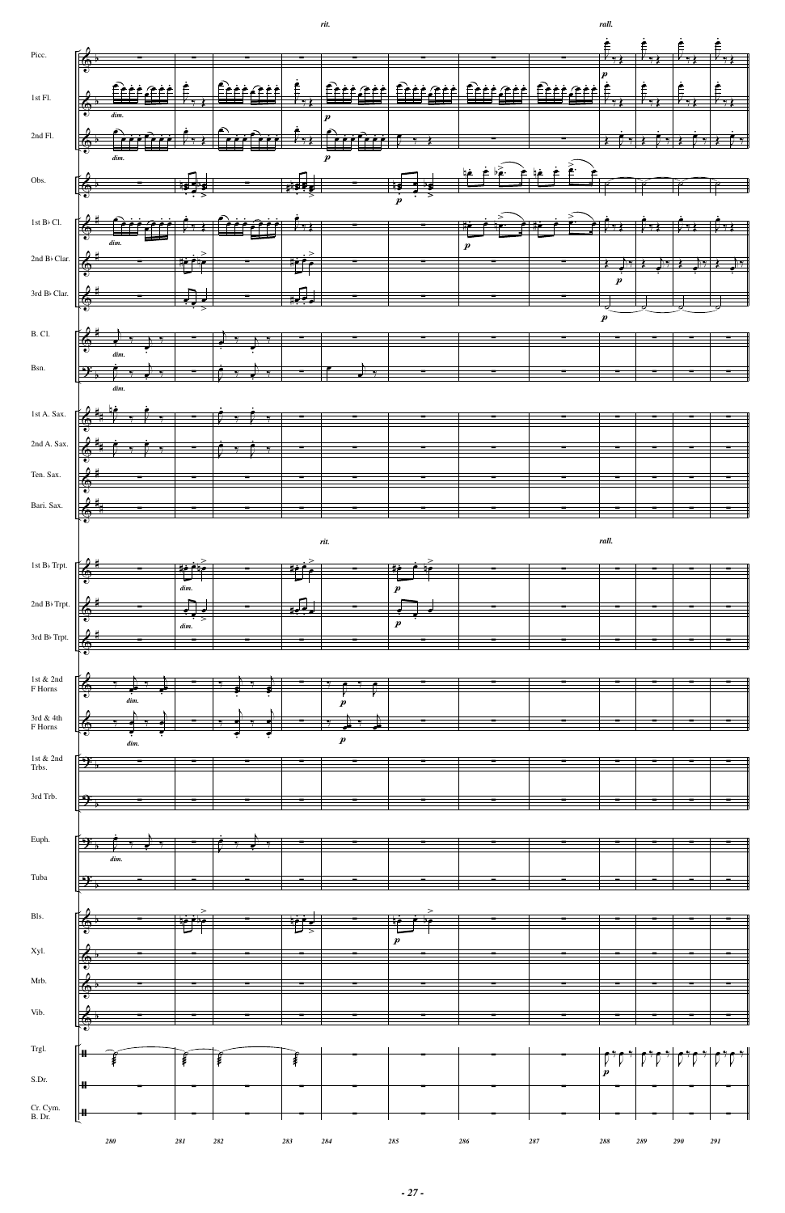

![](_page_26_Figure_3.jpeg)

*rit.*

*rall.*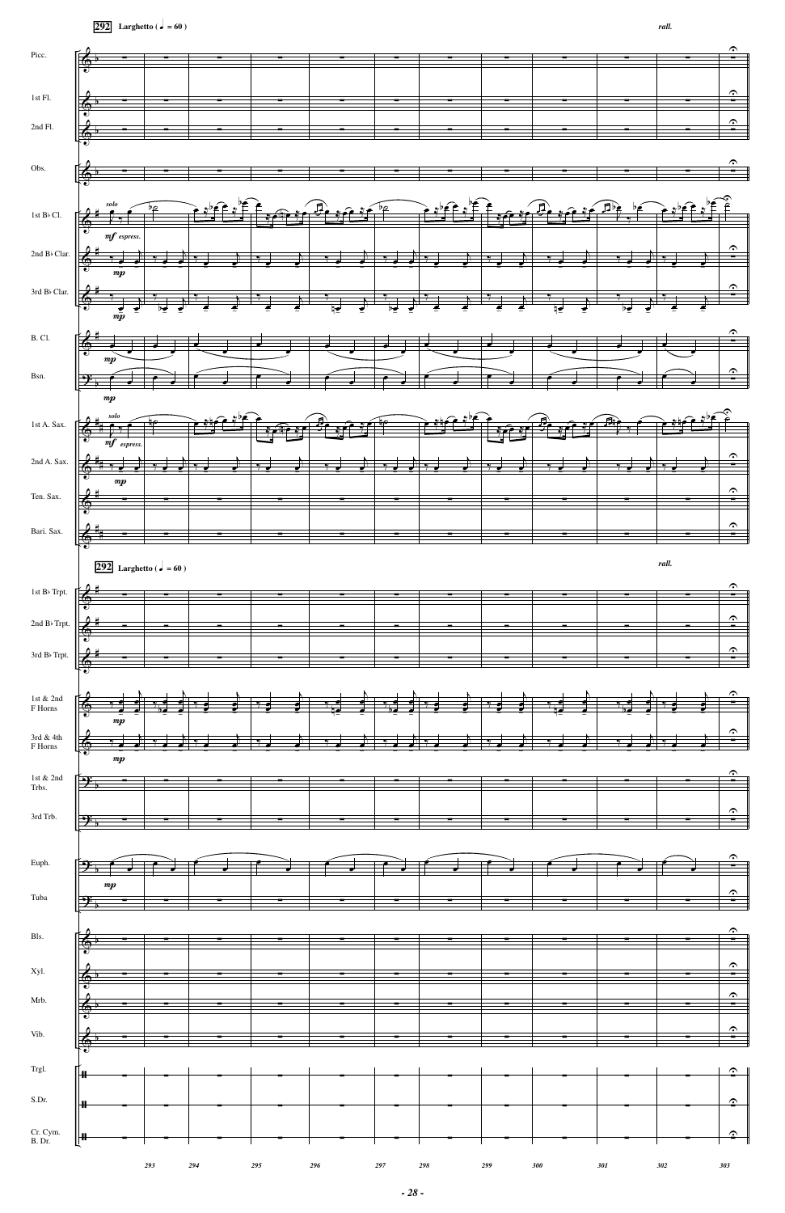![](_page_27_Figure_2.jpeg)

![](_page_27_Figure_1.jpeg)

*- 28 -*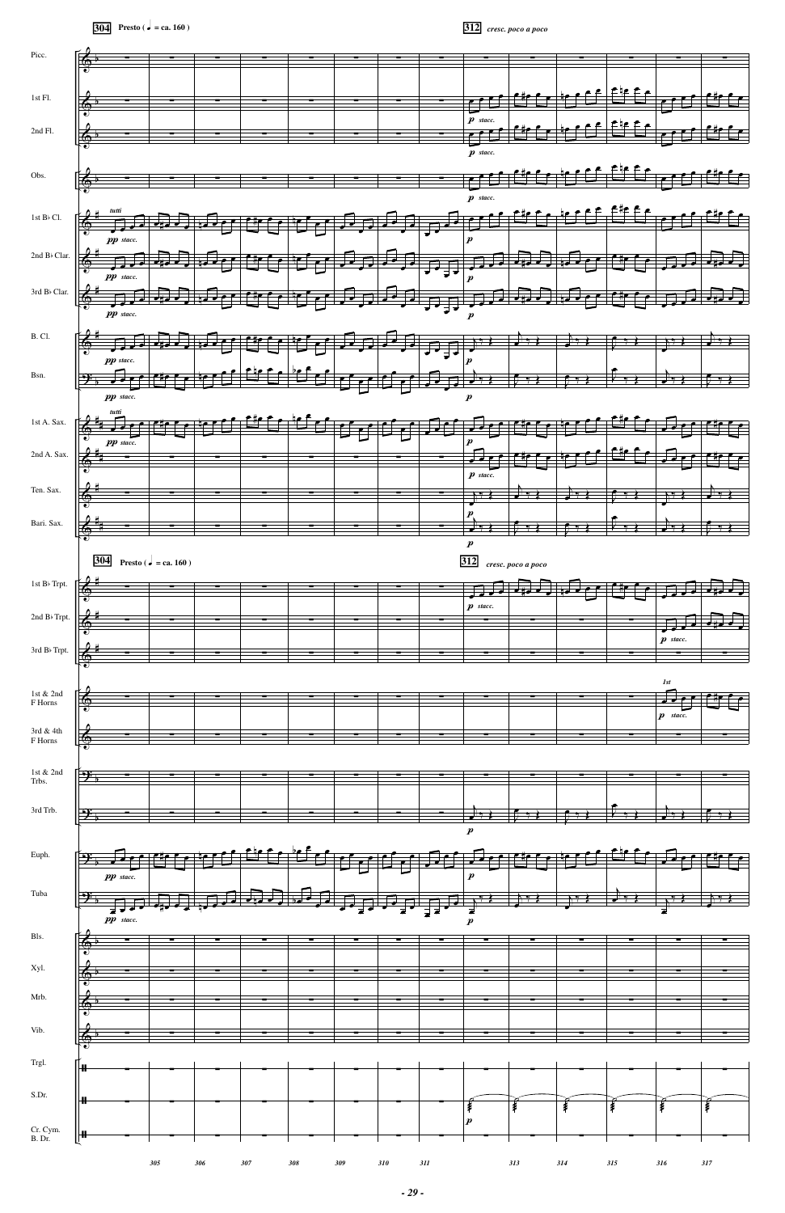![](_page_28_Figure_0.jpeg)

**312** *cresc. poco a poco*

![](_page_28_Figure_2.jpeg)

*- 29 -*